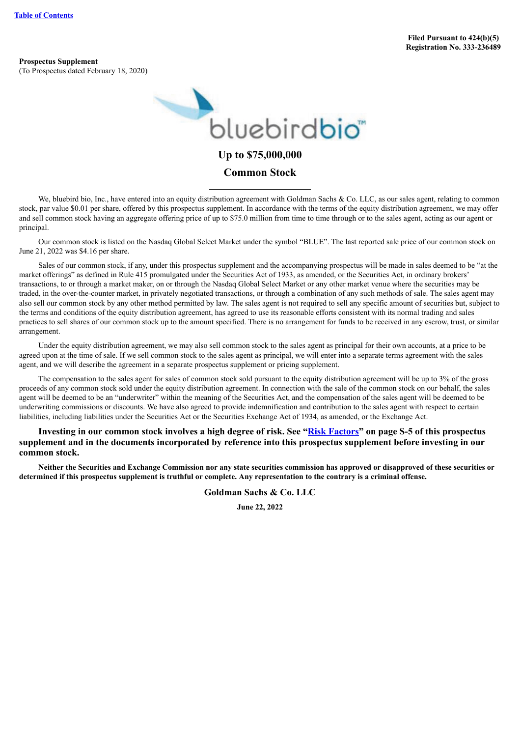**Prospectus Supplement** (To Prospectus dated February 18, 2020)



### **Common Stock**

We, bluebird bio. Inc., have entered into an equity distribution agreement with Goldman Sachs & Co. LLC, as our sales agent, relating to common stock, par value \$0.01 per share, offered by this prospectus supplement. In accordance with the terms of the equity distribution agreement, we may offer and sell common stock having an aggregate offering price of up to \$75.0 million from time to time through or to the sales agent, acting as our agent or principal.

Our common stock is listed on the Nasdaq Global Select Market under the symbol "BLUE". The last reported sale price of our common stock on June 21, 2022 was \$4.16 per share.

Sales of our common stock, if any, under this prospectus supplement and the accompanying prospectus will be made in sales deemed to be "at the market offerings" as defined in Rule 415 promulgated under the Securities Act of 1933, as amended, or the Securities Act, in ordinary brokers' transactions, to or through a market maker, on or through the Nasdaq Global Select Market or any other market venue where the securities may be traded, in the over-the-counter market, in privately negotiated transactions, or through a combination of any such methods of sale. The sales agent may also sell our common stock by any other method permitted by law. The sales agent is not required to sell any specific amount of securities but, subject to the terms and conditions of the equity distribution agreement, has agreed to use its reasonable efforts consistent with its normal trading and sales practices to sell shares of our common stock up to the amount specified. There is no arrangement for funds to be received in any escrow, trust, or similar arrangement.

Under the equity distribution agreement, we may also sell common stock to the sales agent as principal for their own accounts, at a price to be agreed upon at the time of sale. If we sell common stock to the sales agent as principal, we will enter into a separate terms agreement with the sales agent, and we will describe the agreement in a separate prospectus supplement or pricing supplement.

The compensation to the sales agent for sales of common stock sold pursuant to the equity distribution agreement will be up to 3% of the gross proceeds of any common stock sold under the equity distribution agreement. In connection with the sale of the common stock on our behalf, the sales agent will be deemed to be an "underwriter" within the meaning of the Securities Act, and the compensation of the sales agent will be deemed to be underwriting commissions or discounts. We have also agreed to provide indemnification and contribution to the sales agent with respect to certain liabilities, including liabilities under the Securities Act or the Securities Exchange Act of 1934, as amended, or the Exchange Act.

**Investing in our common stock involves a high degree of risk. See "Risk [Factors](#page-6-0)" on page S-5 of this prospectus supplement and in the documents incorporated by reference into this prospectus supplement before investing in our common stock.**

Neither the Securities and Exchange Commission nor any state securities commission has approved or disapproved of these securities or determined if this prospectus supplement is truthful or complete. Any representation to the contrary is a criminal offense.

**Goldman Sachs & Co. LLC**

**June 22, 2022**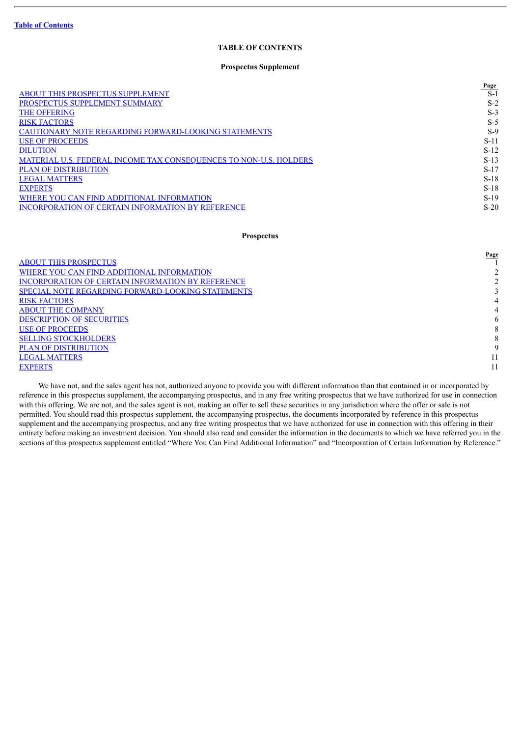#### **TABLE OF CONTENTS**

#### **Prospectus Supplement**

<span id="page-1-0"></span>

| Page   |
|--------|
| $S-1$  |
| $S-2$  |
| $S-3$  |
| $S-5$  |
| $S-9$  |
| $S-11$ |
| $S-12$ |
| $S-13$ |
| $S-17$ |
| $S-18$ |
| $S-18$ |
| $S-19$ |
| $S-20$ |
|        |

#### **Prospectus**

|                                                   | Page |
|---------------------------------------------------|------|
| <b>ABOUT THIS PROSPECTUS</b>                      |      |
| WHERE YOU CAN FIND ADDITIONAL INFORMATION         |      |
| INCORPORATION OF CERTAIN INFORMATION BY REFERENCE |      |
| SPECIAL NOTE REGARDING FORWARD-LOOKING STATEMENTS |      |
| <b>RISK FACTORS</b>                               |      |
| <b>ABOUT THE COMPANY</b>                          |      |
| <b>DESCRIPTION OF SECURITIES</b>                  | 6    |
| <b>USE OF PROCEEDS</b>                            | 8    |
| <b>SELLING STOCKHOLDERS</b>                       |      |
| <b>PLAN OF DISTRIBUTION</b>                       | 9    |
| <b>LEGAL MATTERS</b>                              |      |
| <b>EXPERTS</b>                                    |      |
|                                                   |      |

We have not, and the sales agent has not, authorized anyone to provide you with different information than that contained in or incorporated by reference in this prospectus supplement, the accompanying prospectus, and in any free writing prospectus that we have authorized for use in connection with this offering. We are not, and the sales agent is not, making an offer to sell these securities in any jurisdiction where the offer or sale is not permitted. You should read this prospectus supplement, the accompanying prospectus, the documents incorporated by reference in this prospectus supplement and the accompanying prospectus, and any free writing prospectus that we have authorized for use in connection with this offering in their entirety before making an investment decision. You should also read and consider the information in the documents to which we have referred you in the sections of this prospectus supplement entitled "Where You Can Find Additional Information" and "Incorporation of Certain Information by Reference."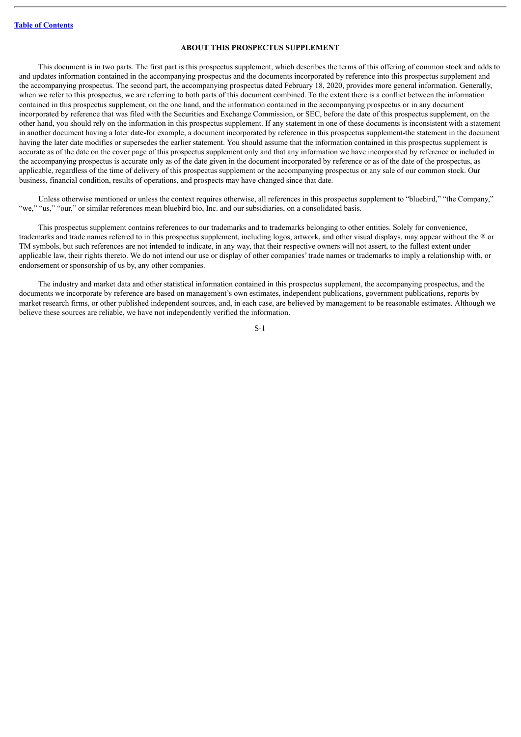#### **ABOUT THIS PROSPECTUS SUPPLEMENT**

<span id="page-2-0"></span>This document is in two parts. The first part is this prospectus supplement, which describes the terms of this offering of common stock and adds to and updates information contained in the accompanying prospectus and the documents incorporated by reference into this prospectus supplement and the accompanying prospectus. The second part, the accompanying prospectus dated February 18, 2020, provides more general information. Generally, when we refer to this prospectus, we are referring to both parts of this document combined. To the extent there is a conflict between the information contained in this prospectus supplement, on the one hand, and the information contained in the accompanying prospectus or in any document incorporated by reference that was filed with the Securities and Exchange Commission, or SEC, before the date of this prospectus supplement, on the other hand, you should rely on the information in this prospectus supplement. If any statement in one of these documents is inconsistent with a statement in another document having a later date-for example, a document incorporated by reference in this prospectus supplement-the statement in the document having the later date modifies or supersedes the earlier statement. You should assume that the information contained in this prospectus supplement is accurate as of the date on the cover page of this prospectus supplement only and that any information we have incorporated by reference or included in the accompanying prospectus is accurate only as of the date given in the document incorporated by reference or as of the date of the prospectus, as applicable, regardless of the time of delivery of this prospectus supplement or the accompanying prospectus or any sale of our common stock. Our business, financial condition, results of operations, and prospects may have changed since that date.

Unless otherwise mentioned or unless the context requires otherwise, all references in this prospectus supplement to "bluebird," "the Company," "we," "us," "our," or similar references mean bluebird bio, Inc. and our subsidiaries, on a consolidated basis.

This prospectus supplement contains references to our trademarks and to trademarks belonging to other entities. Solely for convenience, trademarks and trade names referred to in this prospectus supplement, including logos, artwork, and other visual displays, may appear without the ® or TM symbols, but such references are not intended to indicate, in any way, that their respective owners will not assert, to the fullest extent under applicable law, their rights thereto. We do not intend our use or display of other companies' trade names or trademarks to imply a relationship with, or endorsement or sponsorship of us by, any other companies.

The industry and market data and other statistical information contained in this prospectus supplement, the accompanying prospectus, and the documents we incorporate by reference are based on management's own estimates, independent publications, government publications, reports by market research firms, or other published independent sources, and, in each case, are believed by management to be reasonable estimates. Although we believe these sources are reliable, we have not independently verified the information.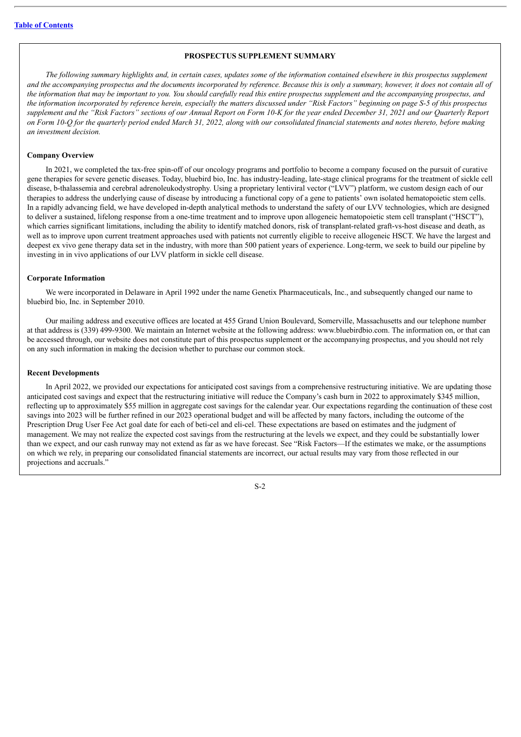#### **PROSPECTUS SUPPLEMENT SUMMARY**

<span id="page-3-0"></span>The following summary highlights and, in certain cases, updates some of the information contained elsewhere in this prospectus supplement and the accompanying prospectus and the documents incorporated by reference. Because this is only a summary, however, it does not contain all of the information that may be important to you. You should carefully read this entire prospectus supplement and the accompanying prospectus, and the information incorporated by reference herein, especially the matters discussed under "Risk Factors" beginning on page S-5 of this prospectus supplement and the "Risk Factors" sections of our Annual Report on Form 10-K for the vear ended December 31, 2021 and our Ouarterly Report on Form 10-O for the auarterly period ended March 31, 2022, along with our consolidated financial statements and notes thereto, before making *an investment decision.*

#### **Company Overview**

In 2021, we completed the tax-free spin-off of our oncology programs and portfolio to become a company focused on the pursuit of curative gene therapies for severe genetic diseases. Today, bluebird bio, Inc. has industry-leading, late-stage clinical programs for the treatment of sickle cell disease, b-thalassemia and cerebral adrenoleukodystrophy. Using a proprietary lentiviral vector ("LVV") platform, we custom design each of our therapies to address the underlying cause of disease by introducing a functional copy of a gene to patients' own isolated hematopoietic stem cells. In a rapidly advancing field, we have developed in-depth analytical methods to understand the safety of our LVV technologies, which are designed to deliver a sustained, lifelong response from a one-time treatment and to improve upon allogeneic hematopoietic stem cell transplant ("HSCT"), which carries significant limitations, including the ability to identify matched donors, risk of transplant-related graft-vs-host disease and death, as well as to improve upon current treatment approaches used with patients not currently eligible to receive allogeneic HSCT. We have the largest and deepest ex vivo gene therapy data set in the industry, with more than 500 patient years of experience. Long-term, we seek to build our pipeline by investing in in vivo applications of our LVV platform in sickle cell disease.

#### **Corporate Information**

We were incorporated in Delaware in April 1992 under the name Genetix Pharmaceuticals, Inc., and subsequently changed our name to bluebird bio, Inc. in September 2010.

Our mailing address and executive offices are located at 455 Grand Union Boulevard, Somerville, Massachusetts and our telephone number at that address is (339) 499-9300. We maintain an Internet website at the following address: www.bluebirdbio.com. The information on, or that can be accessed through, our website does not constitute part of this prospectus supplement or the accompanying prospectus, and you should not rely on any such information in making the decision whether to purchase our common stock.

#### **Recent Developments**

In April 2022, we provided our expectations for anticipated cost savings from a comprehensive restructuring initiative. We are updating those anticipated cost savings and expect that the restructuring initiative will reduce the Company's cash burn in 2022 to approximately \$345 million, reflecting up to approximately \$55 million in aggregate cost savings for the calendar year. Our expectations regarding the continuation of these cost savings into 2023 will be further refined in our 2023 operational budget and will be affected by many factors, including the outcome of the Prescription Drug User Fee Act goal date for each of beti-cel and eli-cel. These expectations are based on estimates and the judgment of management. We may not realize the expected cost savings from the restructuring at the levels we expect, and they could be substantially lower than we expect, and our cash runway may not extend as far as we have forecast. See "Risk Factors—If the estimates we make, or the assumptions on which we rely, in preparing our consolidated financial statements are incorrect, our actual results may vary from those reflected in our projections and accruals."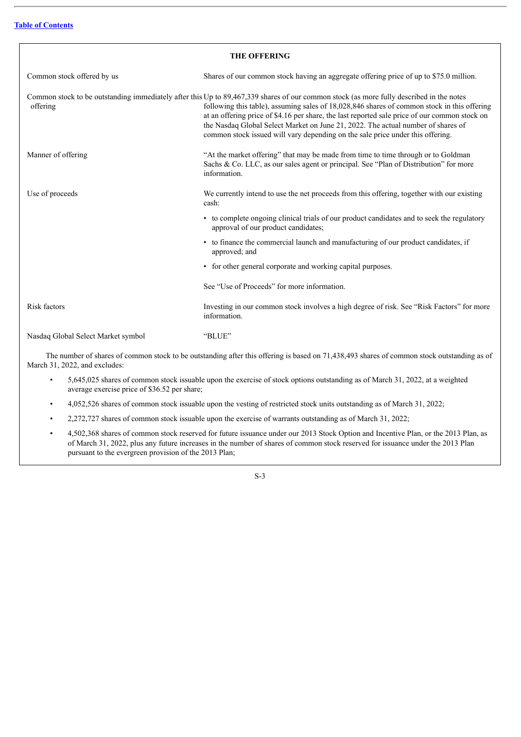<span id="page-4-0"></span>

| <b>THE OFFERING</b>                |                                                                                                                                                                                                                                                                                                                                                                                                                                                                                                               |  |  |  |
|------------------------------------|---------------------------------------------------------------------------------------------------------------------------------------------------------------------------------------------------------------------------------------------------------------------------------------------------------------------------------------------------------------------------------------------------------------------------------------------------------------------------------------------------------------|--|--|--|
| Common stock offered by us         | Shares of our common stock having an aggregate offering price of up to \$75.0 million.                                                                                                                                                                                                                                                                                                                                                                                                                        |  |  |  |
| offering                           | Common stock to be outstanding immediately after this Up to 89,467,339 shares of our common stock (as more fully described in the notes<br>following this table), assuming sales of 18,028,846 shares of common stock in this offering<br>at an offering price of \$4.16 per share, the last reported sale price of our common stock on<br>the Nasdaq Global Select Market on June 21, 2022. The actual number of shares of<br>common stock issued will vary depending on the sale price under this offering. |  |  |  |
| Manner of offering                 | "At the market offering" that may be made from time to time through or to Goldman<br>Sachs & Co. LLC, as our sales agent or principal. See "Plan of Distribution" for more<br>information.                                                                                                                                                                                                                                                                                                                    |  |  |  |
| Use of proceeds                    | We currently intend to use the net proceeds from this offering, together with our existing<br>cash:                                                                                                                                                                                                                                                                                                                                                                                                           |  |  |  |
|                                    | • to complete ongoing clinical trials of our product candidates and to seek the regulatory<br>approval of our product candidates;                                                                                                                                                                                                                                                                                                                                                                             |  |  |  |
|                                    | • to finance the commercial launch and manufacturing of our product candidates, if<br>approved; and                                                                                                                                                                                                                                                                                                                                                                                                           |  |  |  |
|                                    | • for other general corporate and working capital purposes.                                                                                                                                                                                                                                                                                                                                                                                                                                                   |  |  |  |
|                                    | See "Use of Proceeds" for more information.                                                                                                                                                                                                                                                                                                                                                                                                                                                                   |  |  |  |
| <b>Risk factors</b>                | Investing in our common stock involves a high degree of risk. See "Risk Factors" for more<br>information.                                                                                                                                                                                                                                                                                                                                                                                                     |  |  |  |
| Nasdaq Global Select Market symbol | "BLUE"                                                                                                                                                                                                                                                                                                                                                                                                                                                                                                        |  |  |  |

The number of shares of common stock to be outstanding after this offering is based on 71,438,493 shares of common stock outstanding as of March 31, 2022, and excludes:

- 5,645,025 shares of common stock issuable upon the exercise of stock options outstanding as of March 31, 2022, at a weighted average exercise price of \$36.52 per share;
- 4,052,526 shares of common stock issuable upon the vesting of restricted stock units outstanding as of March 31, 2022;
- 2,272,727 shares of common stock issuable upon the exercise of warrants outstanding as of March 31, 2022;
- 4,502,368 shares of common stock reserved for future issuance under our 2013 Stock Option and Incentive Plan, or the 2013 Plan, as of March 31, 2022, plus any future increases in the number of shares of common stock reserved for issuance under the 2013 Plan pursuant to the evergreen provision of the 2013 Plan;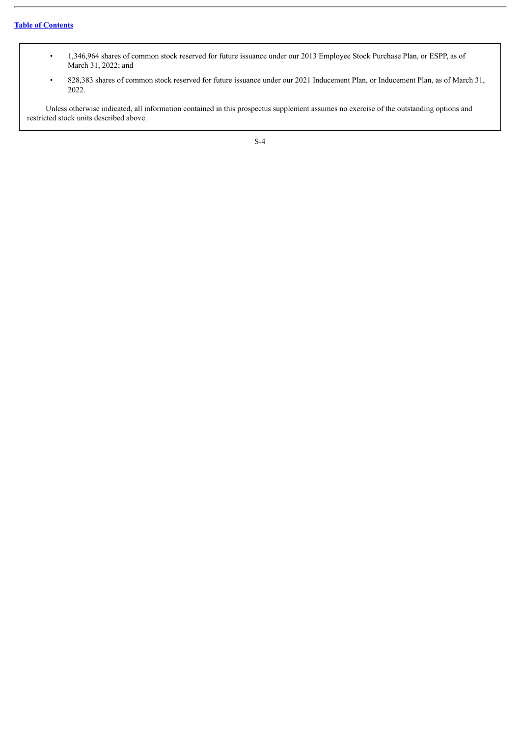- 1,346,964 shares of common stock reserved for future issuance under our 2013 Employee Stock Purchase Plan, or ESPP, as of March 31, 2022; and
- 828,383 shares of common stock reserved for future issuance under our 2021 Inducement Plan, or Inducement Plan, as of March 31, 2022.

Unless otherwise indicated, all information contained in this prospectus supplement assumes no exercise of the outstanding options and restricted stock units described above.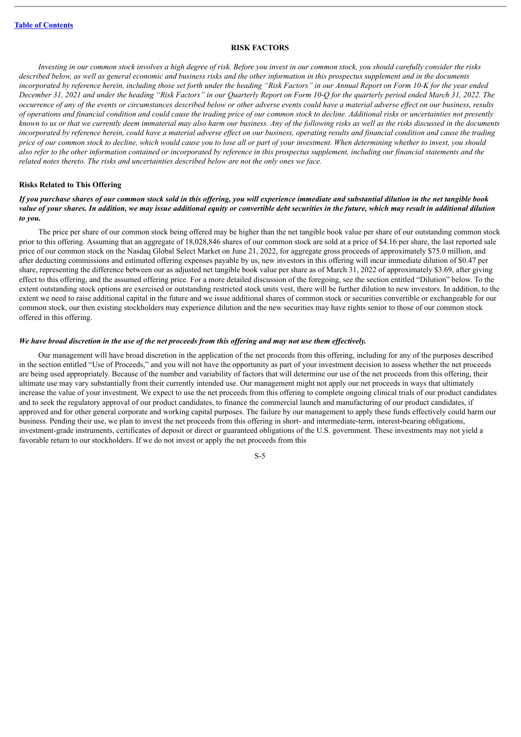#### **RISK FACTORS**

<span id="page-6-0"></span>Investing in our common stock involves a high degree of risk. Before you invest in our common stock, you should carefully consider the risks described below, as well as general economic and business risks and the other information in this prospectus supplement and in the documents incorporated by reference herein, including those set forth under the heading "Risk Factors" in our Annual Report on Form 10-K for the year ended December 31, 2021 and under the heading "Risk Factors" in our Quarterly Report on Form 10-Q for the quarterly period ended March 31, 2022. The occurrence of any of the events or circumstances described below or other adverse events could have a material adverse effect on our business, results of operations and financial condition and could cause the trading price of our common stock to decline. Additional risks or uncertainties not presently known to us or that we currently deem immaterial may also harm our business. Any of the following risks as well as the risks discussed in the documents incorporated by reference herein, could have a material adverse effect on our business, operating results and financial condition and cause the trading price of our common stock to decline, which would cause you to lose all or part of your investment. When determining whether to invest, you should also refer to the other information contained or incorporated by reference in this prospectus supplement, including our financial statements and the *related notes thereto. The risks and uncertainties described below are not the only ones we face.*

#### **Risks Related to This Offering**

#### If vou purchase shares of our common stock sold in this offering, you will experience immediate and substantial dilution in the net tangible book value of your shares. In addition, we may issue additional equity or convertible debt securities in the future, which may result in additional dilution *to you.*

The price per share of our common stock being offered may be higher than the net tangible book value per share of our outstanding common stock prior to this offering. Assuming that an aggregate of 18,028,846 shares of our common stock are sold at a price of \$4.16 per share, the last reported sale price of our common stock on the Nasdaq Global Select Market on June 21, 2022, for aggregate gross proceeds of approximately \$75.0 million, and after deducting commissions and estimated offering expenses payable by us, new investors in this offering will incur immediate dilution of \$0.47 per share, representing the difference between our as adjusted net tangible book value per share as of March 31, 2022 of approximately \$3.69, after giving effect to this offering, and the assumed offering price. For a more detailed discussion of the foregoing, see the section entitled "Dilution" below. To the extent outstanding stock options are exercised or outstanding restricted stock units vest, there will be further dilution to new investors. In addition, to the extent we need to raise additional capital in the future and we issue additional shares of common stock or securities convertible or exchangeable for our common stock, our then existing stockholders may experience dilution and the new securities may have rights senior to those of our common stock offered in this offering.

#### We have broad discretion in the use of the net proceeds from this offering and may not use them effectively.

Our management will have broad discretion in the application of the net proceeds from this offering, including for any of the purposes described in the section entitled "Use of Proceeds," and you will not have the opportunity as part of your investment decision to assess whether the net proceeds are being used appropriately. Because of the number and variability of factors that will determine our use of the net proceeds from this offering, their ultimate use may vary substantially from their currently intended use. Our management might not apply our net proceeds in ways that ultimately increase the value of your investment. We expect to use the net proceeds from this offering to complete ongoing clinical trials of our product candidates and to seek the regulatory approval of our product candidates, to finance the commercial launch and manufacturing of our product candidates, if approved and for other general corporate and working capital purposes. The failure by our management to apply these funds effectively could harm our business. Pending their use, we plan to invest the net proceeds from this offering in short- and intermediate-term, interest-bearing obligations, investment-grade instruments, certificates of deposit or direct or guaranteed obligations of the U.S. government. These investments may not yield a favorable return to our stockholders. If we do not invest or apply the net proceeds from this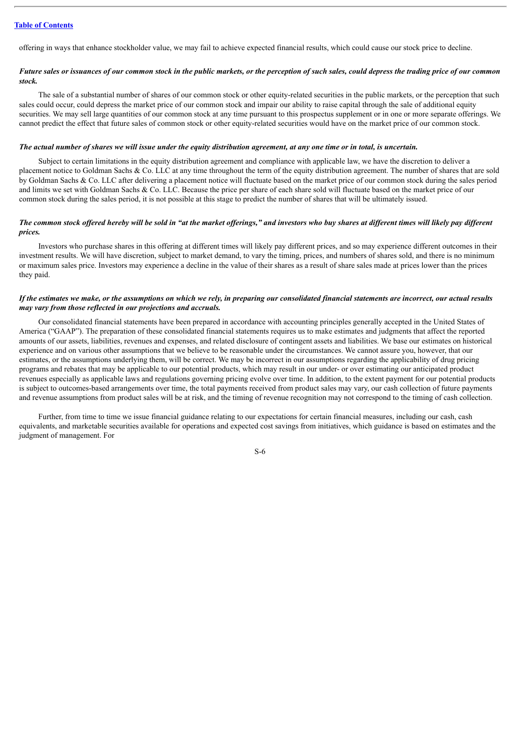offering in ways that enhance stockholder value, we may fail to achieve expected financial results, which could cause our stock price to decline.

#### Future sales or issuances of our common stock in the public markets, or the perception of such sales, could depress the trading price of our common *stock.*

The sale of a substantial number of shares of our common stock or other equity-related securities in the public markets, or the perception that such sales could occur, could depress the market price of our common stock and impair our ability to raise capital through the sale of additional equity securities. We may sell large quantities of our common stock at any time pursuant to this prospectus supplement or in one or more separate offerings. We cannot predict the effect that future sales of common stock or other equity-related securities would have on the market price of our common stock.

#### The actual number of shares we will issue under the equity distribution agreement, at any one time or in total, is uncertain.

Subject to certain limitations in the equity distribution agreement and compliance with applicable law, we have the discretion to deliver a placement notice to Goldman Sachs & Co. LLC at any time throughout the term of the equity distribution agreement. The number of shares that are sold by Goldman Sachs & Co. LLC after delivering a placement notice will fluctuate based on the market price of our common stock during the sales period and limits we set with Goldman Sachs & Co. LLC. Because the price per share of each share sold will fluctuate based on the market price of our common stock during the sales period, it is not possible at this stage to predict the number of shares that will be ultimately issued.

#### The common stock offered hereby will be sold in "at the market offerings," and investors who buy shares at different times will likely pay different *prices.*

Investors who purchase shares in this offering at different times will likely pay different prices, and so may experience different outcomes in their investment results. We will have discretion, subject to market demand, to vary the timing, prices, and numbers of shares sold, and there is no minimum or maximum sales price. Investors may experience a decline in the value of their shares as a result of share sales made at prices lower than the prices they paid.

#### If the estimates we make, or the assumptions on which we rely, in preparing our consolidated financial statements are incorrect, our actual results *may vary from those reflected in our projections and accruals.*

Our consolidated financial statements have been prepared in accordance with accounting principles generally accepted in the United States of America ("GAAP"). The preparation of these consolidated financial statements requires us to make estimates and judgments that affect the reported amounts of our assets, liabilities, revenues and expenses, and related disclosure of contingent assets and liabilities. We base our estimates on historical experience and on various other assumptions that we believe to be reasonable under the circumstances. We cannot assure you, however, that our estimates, or the assumptions underlying them, will be correct. We may be incorrect in our assumptions regarding the applicability of drug pricing programs and rebates that may be applicable to our potential products, which may result in our under- or over estimating our anticipated product revenues especially as applicable laws and regulations governing pricing evolve over time. In addition, to the extent payment for our potential products is subject to outcomes-based arrangements over time, the total payments received from product sales may vary, our cash collection of future payments and revenue assumptions from product sales will be at risk, and the timing of revenue recognition may not correspond to the timing of cash collection.

Further, from time to time we issue financial guidance relating to our expectations for certain financial measures, including our cash, cash equivalents, and marketable securities available for operations and expected cost savings from initiatives, which guidance is based on estimates and the judgment of management. For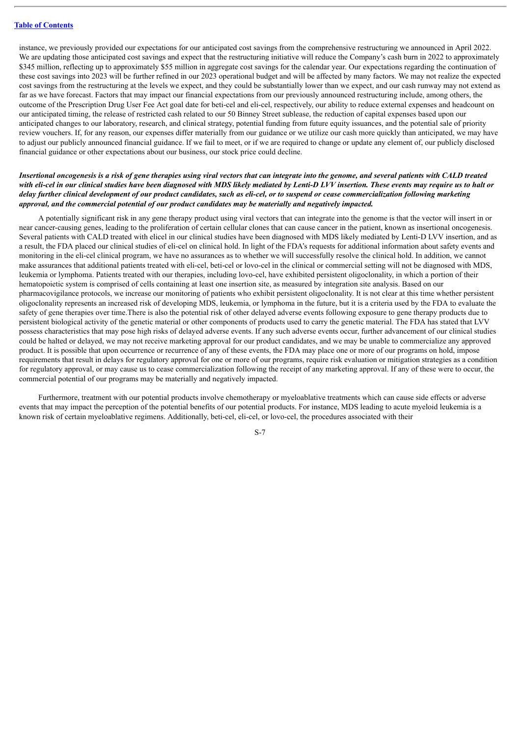instance, we previously provided our expectations for our anticipated cost savings from the comprehensive restructuring we announced in April 2022. We are updating those anticipated cost savings and expect that the restructuring initiative will reduce the Company's cash burn in 2022 to approximately \$345 million, reflecting up to approximately \$55 million in aggregate cost savings for the calendar year. Our expectations regarding the continuation of these cost savings into 2023 will be further refined in our 2023 operational budget and will be affected by many factors. We may not realize the expected cost savings from the restructuring at the levels we expect, and they could be substantially lower than we expect, and our cash runway may not extend as far as we have forecast. Factors that may impact our financial expectations from our previously announced restructuring include, among others, the outcome of the Prescription Drug User Fee Act goal date for beti-cel and eli-cel, respectively, our ability to reduce external expenses and headcount on our anticipated timing, the release of restricted cash related to our 50 Binney Street sublease, the reduction of capital expenses based upon our anticipated changes to our laboratory, research, and clinical strategy, potential funding from future equity issuances, and the potential sale of priority review vouchers. If, for any reason, our expenses differ materially from our guidance or we utilize our cash more quickly than anticipated, we may have to adjust our publicly announced financial guidance. If we fail to meet, or if we are required to change or update any element of, our publicly disclosed financial guidance or other expectations about our business, our stock price could decline.

#### Insertional oncogenesis is a risk of gene therapies using viral vectors that can integrate into the genome, and several patients with CALD treated with eli-cel in our clinical studies have been diagnosed with MDS likely mediated by Lenti-D LVV insertion. These events may require us to halt or delay further clinical development of our product candidates, such as eli-cel, or to suspend or cease commercialization following marketing *approval, and the commercial potential of our product candidates may be materially and negatively impacted.*

A potentially significant risk in any gene therapy product using viral vectors that can integrate into the genome is that the vector will insert in or near cancer-causing genes, leading to the proliferation of certain cellular clones that can cause cancer in the patient, known as insertional oncogenesis. Several patients with CALD treated with elicel in our clinical studies have been diagnosed with MDS likely mediated by Lenti-D LVV insertion, and as a result, the FDA placed our clinical studies of eli-cel on clinical hold. In light of the FDA's requests for additional information about safety events and monitoring in the eli-cel clinical program, we have no assurances as to whether we will successfully resolve the clinical hold. In addition, we cannot make assurances that additional patients treated with eli-cel, beti-cel or lovo-cel in the clinical or commercial setting will not be diagnosed with MDS, leukemia or lymphoma. Patients treated with our therapies, including lovo-cel, have exhibited persistent oligoclonality, in which a portion of their hematopoietic system is comprised of cells containing at least one insertion site, as measured by integration site analysis. Based on our pharmacovigilance protocols, we increase our monitoring of patients who exhibit persistent oligoclonality. It is not clear at this time whether persistent oligoclonality represents an increased risk of developing MDS, leukemia, or lymphoma in the future, but it is a criteria used by the FDA to evaluate the safety of gene therapies over time.There is also the potential risk of other delayed adverse events following exposure to gene therapy products due to persistent biological activity of the genetic material or other components of products used to carry the genetic material. The FDA has stated that LVV possess characteristics that may pose high risks of delayed adverse events. If any such adverse events occur, further advancement of our clinical studies could be halted or delayed, we may not receive marketing approval for our product candidates, and we may be unable to commercialize any approved product. It is possible that upon occurrence or recurrence of any of these events, the FDA may place one or more of our programs on hold, impose requirements that result in delays for regulatory approval for one or more of our programs, require risk evaluation or mitigation strategies as a condition for regulatory approval, or may cause us to cease commercialization following the receipt of any marketing approval. If any of these were to occur, the commercial potential of our programs may be materially and negatively impacted.

Furthermore, treatment with our potential products involve chemotherapy or myeloablative treatments which can cause side effects or adverse events that may impact the perception of the potential benefits of our potential products. For instance, MDS leading to acute myeloid leukemia is a known risk of certain myeloablative regimens. Additionally, beti-cel, eli-cel, or lovo-cel, the procedures associated with their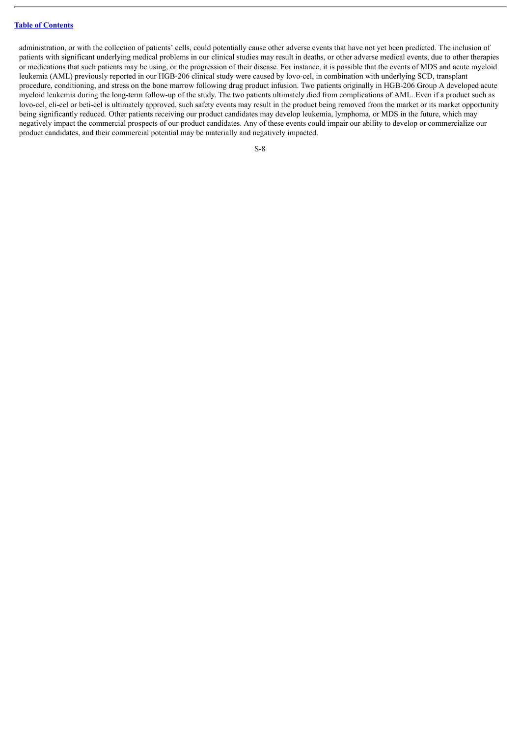administration, or with the collection of patients' cells, could potentially cause other adverse events that have not yet been predicted. The inclusion of patients with significant underlying medical problems in our clinical studies may result in deaths, or other adverse medical events, due to other therapies or medications that such patients may be using, or the progression of their disease. For instance, it is possible that the events of MDS and acute myeloid leukemia (AML) previously reported in our HGB-206 clinical study were caused by lovo-cel, in combination with underlying SCD, transplant procedure, conditioning, and stress on the bone marrow following drug product infusion. Two patients originally in HGB-206 Group A developed acute myeloid leukemia during the long-term follow-up of the study. The two patients ultimately died from complications of AML. Even if a product such as lovo-cel, eli-cel or beti-cel is ultimately approved, such safety events may result in the product being removed from the market or its market opportunity being significantly reduced. Other patients receiving our product candidates may develop leukemia, lymphoma, or MDS in the future, which may negatively impact the commercial prospects of our product candidates. Any of these events could impair our ability to develop or commercialize our product candidates, and their commercial potential may be materially and negatively impacted.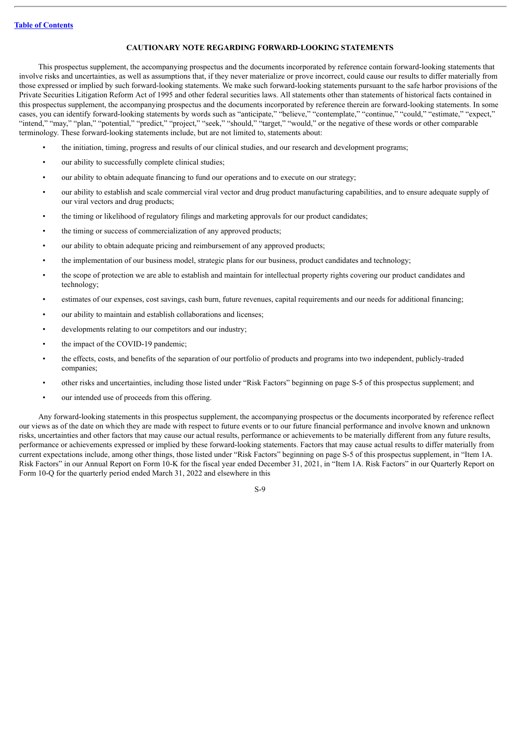#### **CAUTIONARY NOTE REGARDING FORWARD-LOOKING STATEMENTS**

<span id="page-10-0"></span>This prospectus supplement, the accompanying prospectus and the documents incorporated by reference contain forward-looking statements that involve risks and uncertainties, as well as assumptions that, if they never materialize or prove incorrect, could cause our results to differ materially from those expressed or implied by such forward-looking statements. We make such forward-looking statements pursuant to the safe harbor provisions of the Private Securities Litigation Reform Act of 1995 and other federal securities laws. All statements other than statements of historical facts contained in this prospectus supplement, the accompanying prospectus and the documents incorporated by reference therein are forward-looking statements. In some cases, you can identify forward-looking statements by words such as "anticipate," "believe," "contemplate," "continue," "could," "estimate," "expect," "intend," "may," "plan," "potential," "predict," "project," "seek," "should," "target," "would," or the negative of these words or other comparable terminology. These forward-looking statements include, but are not limited to, statements about:

- the initiation, timing, progress and results of our clinical studies, and our research and development programs;
- our ability to successfully complete clinical studies;
- our ability to obtain adequate financing to fund our operations and to execute on our strategy;
- our ability to establish and scale commercial viral vector and drug product manufacturing capabilities, and to ensure adequate supply of our viral vectors and drug products;
- the timing or likelihood of regulatory filings and marketing approvals for our product candidates;
- the timing or success of commercialization of any approved products;
- our ability to obtain adequate pricing and reimbursement of any approved products;
- the implementation of our business model, strategic plans for our business, product candidates and technology;
- the scope of protection we are able to establish and maintain for intellectual property rights covering our product candidates and technology;
- estimates of our expenses, cost savings, cash burn, future revenues, capital requirements and our needs for additional financing;
- our ability to maintain and establish collaborations and licenses;
- developments relating to our competitors and our industry;
- the impact of the COVID-19 pandemic;
- the effects, costs, and benefits of the separation of our portfolio of products and programs into two independent, publicly-traded companies;
- other risks and uncertainties, including those listed under "Risk Factors" beginning on page S-5 of this prospectus supplement; and
- our intended use of proceeds from this offering.

Any forward-looking statements in this prospectus supplement, the accompanying prospectus or the documents incorporated by reference reflect our views as of the date on which they are made with respect to future events or to our future financial performance and involve known and unknown risks, uncertainties and other factors that may cause our actual results, performance or achievements to be materially different from any future results, performance or achievements expressed or implied by these forward-looking statements. Factors that may cause actual results to differ materially from current expectations include, among other things, those listed under "Risk Factors" beginning on page S-5 of this prospectus supplement, in "Item 1A. Risk Factors" in our Annual Report on Form 10-K for the fiscal year ended December 31, 2021, in "Item 1A. Risk Factors" in our Quarterly Report on Form 10-Q for the quarterly period ended March 31, 2022 and elsewhere in this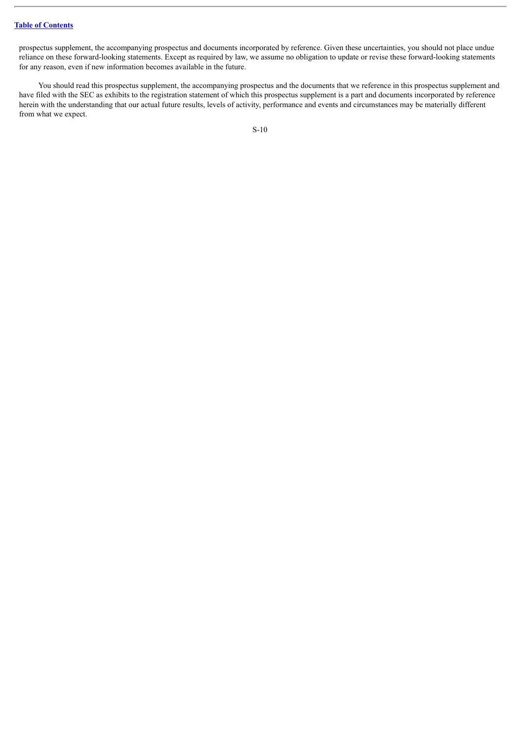prospectus supplement, the accompanying prospectus and documents incorporated by reference. Given these uncertainties, you should not place undue reliance on these forward-looking statements. Except as required by law, we assume no obligation to update or revise these forward-looking statements for any reason, even if new information becomes available in the future.

You should read this prospectus supplement, the accompanying prospectus and the documents that we reference in this prospectus supplement and have filed with the SEC as exhibits to the registration statement of which this prospectus supplement is a part and documents incorporated by reference herein with the understanding that our actual future results, levels of activity, performance and events and circumstances may be materially different from what we expect.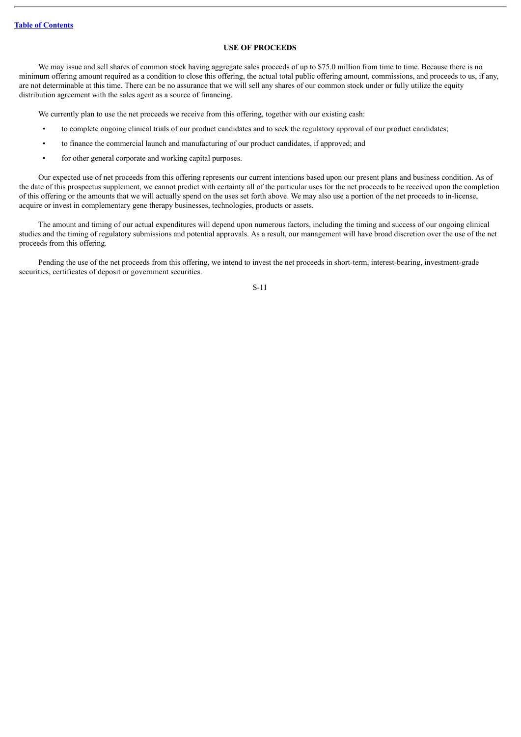#### **USE OF PROCEEDS**

<span id="page-12-0"></span>We may issue and sell shares of common stock having aggregate sales proceeds of up to \$75.0 million from time to time. Because there is no minimum offering amount required as a condition to close this offering, the actual total public offering amount, commissions, and proceeds to us, if any, are not determinable at this time. There can be no assurance that we will sell any shares of our common stock under or fully utilize the equity distribution agreement with the sales agent as a source of financing.

We currently plan to use the net proceeds we receive from this offering, together with our existing cash:

- to complete ongoing clinical trials of our product candidates and to seek the regulatory approval of our product candidates;
- to finance the commercial launch and manufacturing of our product candidates, if approved; and
- for other general corporate and working capital purposes.

Our expected use of net proceeds from this offering represents our current intentions based upon our present plans and business condition. As of the date of this prospectus supplement, we cannot predict with certainty all of the particular uses for the net proceeds to be received upon the completion of this offering or the amounts that we will actually spend on the uses set forth above. We may also use a portion of the net proceeds to in-license, acquire or invest in complementary gene therapy businesses, technologies, products or assets.

The amount and timing of our actual expenditures will depend upon numerous factors, including the timing and success of our ongoing clinical studies and the timing of regulatory submissions and potential approvals. As a result, our management will have broad discretion over the use of the net proceeds from this offering.

Pending the use of the net proceeds from this offering, we intend to invest the net proceeds in short-term, interest-bearing, investment-grade securities, certificates of deposit or government securities.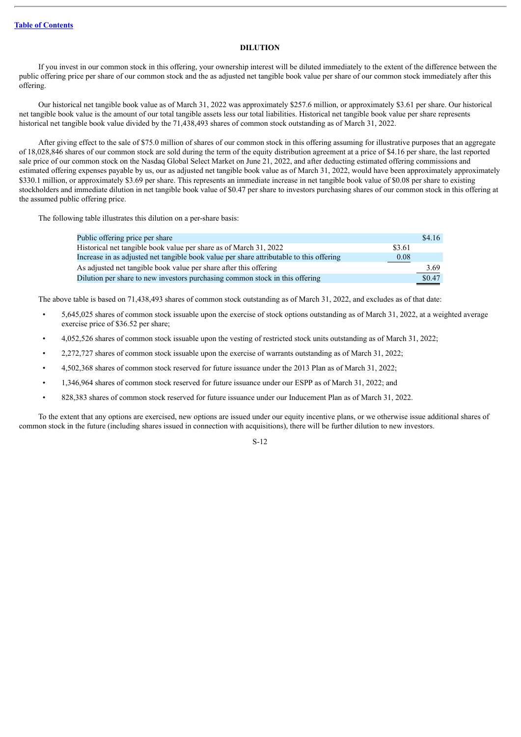#### **DILUTION**

<span id="page-13-0"></span>If you invest in our common stock in this offering, your ownership interest will be diluted immediately to the extent of the difference between the public offering price per share of our common stock and the as adjusted net tangible book value per share of our common stock immediately after this offering.

Our historical net tangible book value as of March 31, 2022 was approximately \$257.6 million, or approximately \$3.61 per share. Our historical net tangible book value is the amount of our total tangible assets less our total liabilities. Historical net tangible book value per share represents historical net tangible book value divided by the 71,438,493 shares of common stock outstanding as of March 31, 2022.

After giving effect to the sale of \$75.0 million of shares of our common stock in this offering assuming for illustrative purposes that an aggregate of 18,028,846 shares of our common stock are sold during the term of the equity distribution agreement at a price of \$4.16 per share, the last reported sale price of our common stock on the Nasdaq Global Select Market on June 21, 2022, and after deducting estimated offering commissions and estimated offering expenses payable by us, our as adjusted net tangible book value as of March 31, 2022, would have been approximately approximately \$330.1 million, or approximately \$3.69 per share. This represents an immediate increase in net tangible book value of \$0.08 per share to existing stockholders and immediate dilution in net tangible book value of \$0.47 per share to investors purchasing shares of our common stock in this offering at the assumed public offering price.

The following table illustrates this dilution on a per-share basis:

| Public offering price per share                                                         |        | \$4.16 |
|-----------------------------------------------------------------------------------------|--------|--------|
| Historical net tangible book value per share as of March 31, 2022                       | \$3.61 |        |
| Increase in as adjusted net tangible book value per share attributable to this offering | 0.08   |        |
| As adjusted net tangible book value per share after this offering                       |        | 3.69   |
| Dilution per share to new investors purchasing common stock in this offering            |        | \$0.47 |

The above table is based on 71,438,493 shares of common stock outstanding as of March 31, 2022, and excludes as of that date:

- 5,645,025 shares of common stock issuable upon the exercise of stock options outstanding as of March 31, 2022, at a weighted average exercise price of \$36.52 per share;
- 4,052,526 shares of common stock issuable upon the vesting of restricted stock units outstanding as of March 31, 2022;
- 2,272,727 shares of common stock issuable upon the exercise of warrants outstanding as of March 31, 2022;
- 4,502,368 shares of common stock reserved for future issuance under the 2013 Plan as of March 31, 2022;
- 1,346,964 shares of common stock reserved for future issuance under our ESPP as of March 31, 2022; and
- 828,383 shares of common stock reserved for future issuance under our Inducement Plan as of March 31, 2022.

To the extent that any options are exercised, new options are issued under our equity incentive plans, or we otherwise issue additional shares of common stock in the future (including shares issued in connection with acquisitions), there will be further dilution to new investors.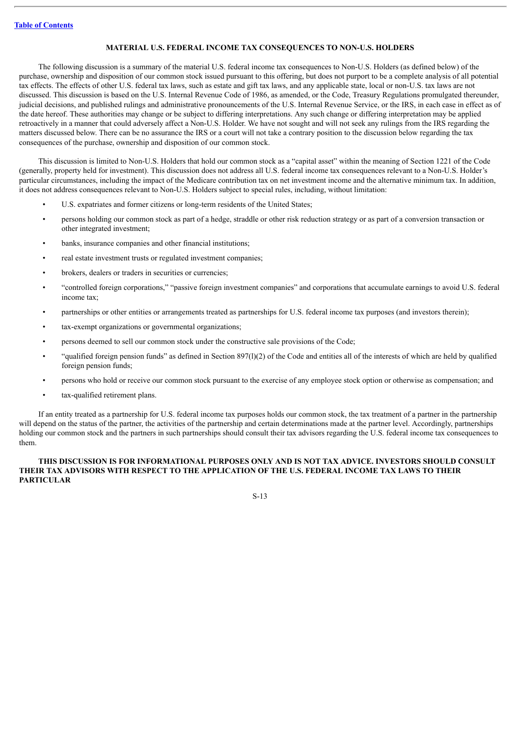#### **MATERIAL U.S. FEDERAL INCOME TAX CONSEQUENCES TO NON-U.S. HOLDERS**

<span id="page-14-0"></span>The following discussion is a summary of the material U.S. federal income tax consequences to Non-U.S. Holders (as defined below) of the purchase, ownership and disposition of our common stock issued pursuant to this offering, but does not purport to be a complete analysis of all potential tax effects. The effects of other U.S. federal tax laws, such as estate and gift tax laws, and any applicable state, local or non-U.S. tax laws are not discussed. This discussion is based on the U.S. Internal Revenue Code of 1986, as amended, or the Code, Treasury Regulations promulgated thereunder, judicial decisions, and published rulings and administrative pronouncements of the U.S. Internal Revenue Service, or the IRS, in each case in effect as of the date hereof. These authorities may change or be subject to differing interpretations. Any such change or differing interpretation may be applied retroactively in a manner that could adversely affect a Non-U.S. Holder. We have not sought and will not seek any rulings from the IRS regarding the matters discussed below. There can be no assurance the IRS or a court will not take a contrary position to the discussion below regarding the tax consequences of the purchase, ownership and disposition of our common stock.

This discussion is limited to Non-U.S. Holders that hold our common stock as a "capital asset" within the meaning of Section 1221 of the Code (generally, property held for investment). This discussion does not address all U.S. federal income tax consequences relevant to a Non-U.S. Holder's particular circumstances, including the impact of the Medicare contribution tax on net investment income and the alternative minimum tax. In addition, it does not address consequences relevant to Non-U.S. Holders subject to special rules, including, without limitation:

- U.S. expatriates and former citizens or long-term residents of the United States;
- persons holding our common stock as part of a hedge, straddle or other risk reduction strategy or as part of a conversion transaction or other integrated investment;
- banks, insurance companies and other financial institutions;
- real estate investment trusts or regulated investment companies;
- brokers, dealers or traders in securities or currencies;
- "controlled foreign corporations," "passive foreign investment companies" and corporations that accumulate earnings to avoid U.S. federal income tax;
- partnerships or other entities or arrangements treated as partnerships for U.S. federal income tax purposes (and investors therein);
- tax-exempt organizations or governmental organizations;
- persons deemed to sell our common stock under the constructive sale provisions of the Code;
- "qualified foreign pension funds" as defined in Section 897(l)(2) of the Code and entities all of the interests of which are held by qualified foreign pension funds;
- persons who hold or receive our common stock pursuant to the exercise of any employee stock option or otherwise as compensation; and
- tax-qualified retirement plans.

If an entity treated as a partnership for U.S. federal income tax purposes holds our common stock, the tax treatment of a partner in the partnership will depend on the status of the partner, the activities of the partnership and certain determinations made at the partner level. Accordingly, partnerships holding our common stock and the partners in such partnerships should consult their tax advisors regarding the U.S. federal income tax consequences to them.

#### **THIS DISCUSSION IS FOR INFORMATIONAL PURPOSES ONLY AND IS NOT TAX ADVICE. INVESTORS SHOULD CONSULT THEIR TAX ADVISORS WITH RESPECT TO THE APPLICATION OF THE U.S. FEDERAL INCOME TAX LAWS TO THEIR PARTICULAR**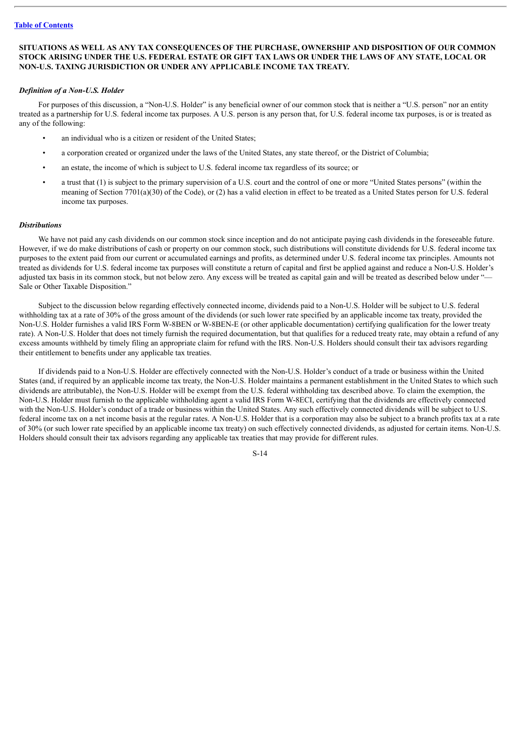#### **SITUATIONS AS WELL AS ANY TAX CONSEQUENCES OF THE PURCHASE, OWNERSHIP AND DISPOSITION OF OUR COMMON** STOCK ARISING UNDER THE U.S. FEDERAL ESTATE OR GIFT TAX LAWS OR UNDER THE LAWS OF ANY STATE. LOCAL OR **NON-U.S. TAXING JURISDICTION OR UNDER ANY APPLICABLE INCOME TAX TREATY.**

#### *Definition of a Non-U.S. Holder*

For purposes of this discussion, a "Non-U.S. Holder" is any beneficial owner of our common stock that is neither a "U.S. person" nor an entity treated as a partnership for U.S. federal income tax purposes. A U.S. person is any person that, for U.S. federal income tax purposes, is or is treated as any of the following:

- an individual who is a citizen or resident of the United States;
- a corporation created or organized under the laws of the United States, any state thereof, or the District of Columbia;
- an estate, the income of which is subject to U.S. federal income tax regardless of its source; or
- a trust that (1) is subject to the primary supervision of a U.S. court and the control of one or more "United States persons" (within the meaning of Section 7701(a)(30) of the Code), or (2) has a valid election in effect to be treated as a United States person for U.S. federal income tax purposes.

#### *Distributions*

We have not paid any cash dividends on our common stock since inception and do not anticipate paying cash dividends in the foreseeable future. However, if we do make distributions of cash or property on our common stock, such distributions will constitute dividends for U.S. federal income tax purposes to the extent paid from our current or accumulated earnings and profits, as determined under U.S. federal income tax principles. Amounts not treated as dividends for U.S. federal income tax purposes will constitute a return of capital and first be applied against and reduce a Non-U.S. Holder's adjusted tax basis in its common stock, but not below zero. Any excess will be treated as capital gain and will be treated as described below under "— Sale or Other Taxable Disposition."

Subject to the discussion below regarding effectively connected income, dividends paid to a Non-U.S. Holder will be subject to U.S. federal withholding tax at a rate of 30% of the gross amount of the dividends (or such lower rate specified by an applicable income tax treaty, provided the Non-U.S. Holder furnishes a valid IRS Form W-8BEN or W-8BEN-E (or other applicable documentation) certifying qualification for the lower treaty rate). A Non-U.S. Holder that does not timely furnish the required documentation, but that qualifies for a reduced treaty rate, may obtain a refund of any excess amounts withheld by timely filing an appropriate claim for refund with the IRS. Non-U.S. Holders should consult their tax advisors regarding their entitlement to benefits under any applicable tax treaties.

If dividends paid to a Non-U.S. Holder are effectively connected with the Non-U.S. Holder's conduct of a trade or business within the United States (and, if required by an applicable income tax treaty, the Non-U.S. Holder maintains a permanent establishment in the United States to which such dividends are attributable), the Non-U.S. Holder will be exempt from the U.S. federal withholding tax described above. To claim the exemption, the Non-U.S. Holder must furnish to the applicable withholding agent a valid IRS Form W-8ECI, certifying that the dividends are effectively connected with the Non-U.S. Holder's conduct of a trade or business within the United States. Any such effectively connected dividends will be subject to U.S. federal income tax on a net income basis at the regular rates. A Non-U.S. Holder that is a corporation may also be subject to a branch profits tax at a rate of 30% (or such lower rate specified by an applicable income tax treaty) on such effectively connected dividends, as adjusted for certain items. Non-U.S. Holders should consult their tax advisors regarding any applicable tax treaties that may provide for different rules.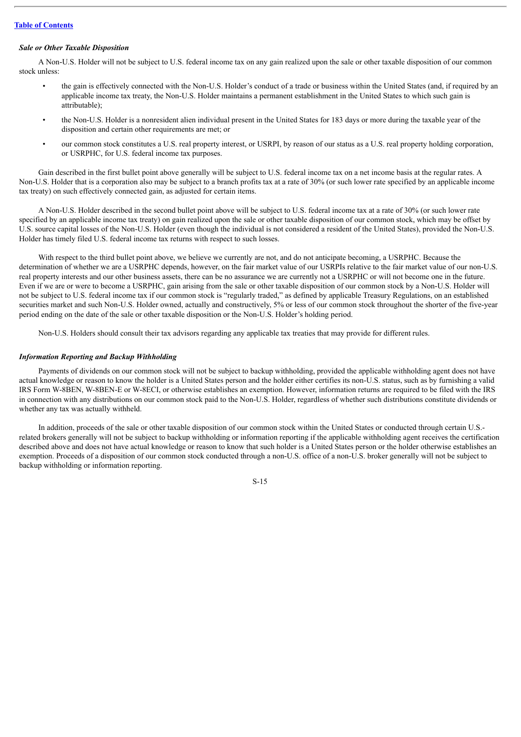#### *Sale or Other Taxable Disposition*

A Non-U.S. Holder will not be subject to U.S. federal income tax on any gain realized upon the sale or other taxable disposition of our common stock unless:

- the gain is effectively connected with the Non-U.S. Holder's conduct of a trade or business within the United States (and, if required by an applicable income tax treaty, the Non-U.S. Holder maintains a permanent establishment in the United States to which such gain is attributable);
- the Non-U.S. Holder is a nonresident alien individual present in the United States for 183 days or more during the taxable year of the disposition and certain other requirements are met; or
- our common stock constitutes a U.S. real property interest, or USRPI, by reason of our status as a U.S. real property holding corporation, or USRPHC, for U.S. federal income tax purposes.

Gain described in the first bullet point above generally will be subject to U.S. federal income tax on a net income basis at the regular rates. A Non-U.S. Holder that is a corporation also may be subject to a branch profits tax at a rate of 30% (or such lower rate specified by an applicable income tax treaty) on such effectively connected gain, as adjusted for certain items.

A Non-U.S. Holder described in the second bullet point above will be subject to U.S. federal income tax at a rate of 30% (or such lower rate specified by an applicable income tax treaty) on gain realized upon the sale or other taxable disposition of our common stock, which may be offset by U.S. source capital losses of the Non-U.S. Holder (even though the individual is not considered a resident of the United States), provided the Non-U.S. Holder has timely filed U.S. federal income tax returns with respect to such losses.

With respect to the third bullet point above, we believe we currently are not, and do not anticipate becoming, a USRPHC. Because the determination of whether we are a USRPHC depends, however, on the fair market value of our USRPIs relative to the fair market value of our non-U.S. real property interests and our other business assets, there can be no assurance we are currently not a USRPHC or will not become one in the future. Even if we are or were to become a USRPHC, gain arising from the sale or other taxable disposition of our common stock by a Non-U.S. Holder will not be subject to U.S. federal income tax if our common stock is "regularly traded," as defined by applicable Treasury Regulations, on an established securities market and such Non-U.S. Holder owned, actually and constructively, 5% or less of our common stock throughout the shorter of the five-year period ending on the date of the sale or other taxable disposition or the Non-U.S. Holder's holding period.

Non-U.S. Holders should consult their tax advisors regarding any applicable tax treaties that may provide for different rules.

#### *Information Reporting and Backup Withholding*

Payments of dividends on our common stock will not be subject to backup withholding, provided the applicable withholding agent does not have actual knowledge or reason to know the holder is a United States person and the holder either certifies its non-U.S. status, such as by furnishing a valid IRS Form W-8BEN, W-8BEN-E or W-8ECI, or otherwise establishes an exemption. However, information returns are required to be filed with the IRS in connection with any distributions on our common stock paid to the Non-U.S. Holder, regardless of whether such distributions constitute dividends or whether any tax was actually withheld.

In addition, proceeds of the sale or other taxable disposition of our common stock within the United States or conducted through certain U.S. related brokers generally will not be subject to backup withholding or information reporting if the applicable withholding agent receives the certification described above and does not have actual knowledge or reason to know that such holder is a United States person or the holder otherwise establishes an exemption. Proceeds of a disposition of our common stock conducted through a non-U.S. office of a non-U.S. broker generally will not be subject to backup withholding or information reporting.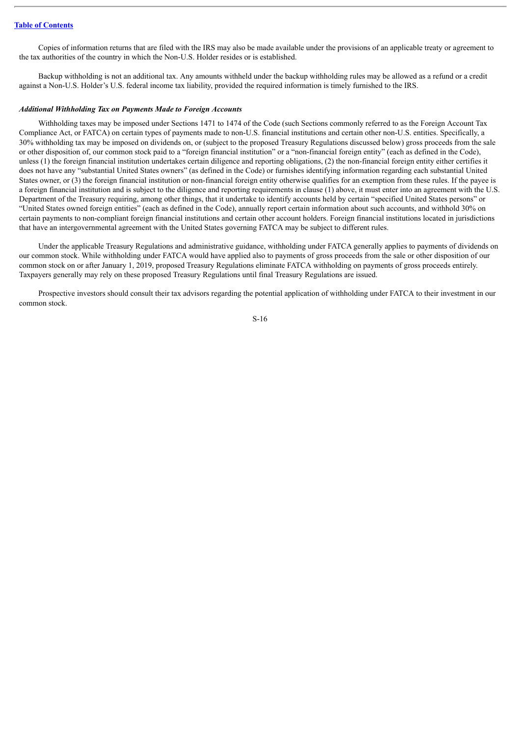Copies of information returns that are filed with the IRS may also be made available under the provisions of an applicable treaty or agreement to the tax authorities of the country in which the Non-U.S. Holder resides or is established.

Backup withholding is not an additional tax. Any amounts withheld under the backup withholding rules may be allowed as a refund or a credit against a Non-U.S. Holder's U.S. federal income tax liability, provided the required information is timely furnished to the IRS.

#### *Additional Withholding Tax on Payments Made to Foreign Accounts*

Withholding taxes may be imposed under Sections 1471 to 1474 of the Code (such Sections commonly referred to as the Foreign Account Tax Compliance Act, or FATCA) on certain types of payments made to non-U.S. financial institutions and certain other non-U.S. entities. Specifically, a 30% withholding tax may be imposed on dividends on, or (subject to the proposed Treasury Regulations discussed below) gross proceeds from the sale or other disposition of, our common stock paid to a "foreign financial institution" or a "non-financial foreign entity" (each as defined in the Code), unless (1) the foreign financial institution undertakes certain diligence and reporting obligations, (2) the non-financial foreign entity either certifies it does not have any "substantial United States owners" (as defined in the Code) or furnishes identifying information regarding each substantial United States owner, or (3) the foreign financial institution or non-financial foreign entity otherwise qualifies for an exemption from these rules. If the payee is a foreign financial institution and is subject to the diligence and reporting requirements in clause (1) above, it must enter into an agreement with the U.S. Department of the Treasury requiring, among other things, that it undertake to identify accounts held by certain "specified United States persons" or "United States owned foreign entities" (each as defined in the Code), annually report certain information about such accounts, and withhold 30% on certain payments to non-compliant foreign financial institutions and certain other account holders. Foreign financial institutions located in jurisdictions that have an intergovernmental agreement with the United States governing FATCA may be subject to different rules.

Under the applicable Treasury Regulations and administrative guidance, withholding under FATCA generally applies to payments of dividends on our common stock. While withholding under FATCA would have applied also to payments of gross proceeds from the sale or other disposition of our common stock on or after January 1, 2019, proposed Treasury Regulations eliminate FATCA withholding on payments of gross proceeds entirely. Taxpayers generally may rely on these proposed Treasury Regulations until final Treasury Regulations are issued.

Prospective investors should consult their tax advisors regarding the potential application of withholding under FATCA to their investment in our common stock.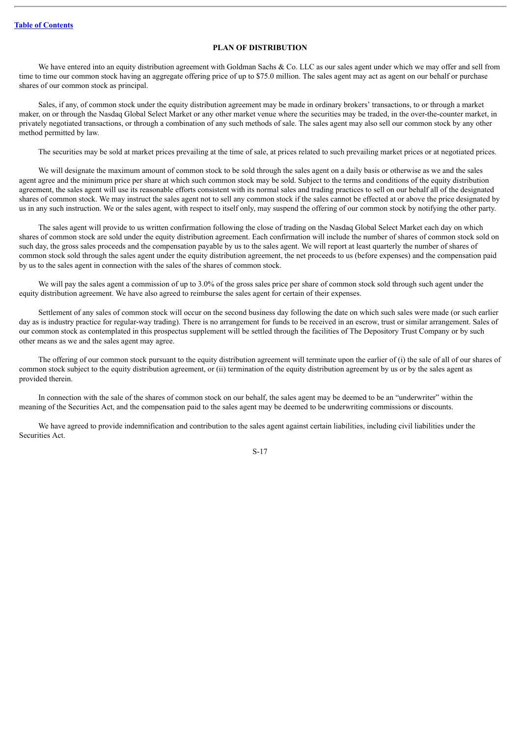#### **PLAN OF DISTRIBUTION**

<span id="page-18-0"></span>We have entered into an equity distribution agreement with Goldman Sachs & Co. LLC as our sales agent under which we may offer and sell from time to time our common stock having an aggregate offering price of up to \$75.0 million. The sales agent may act as agent on our behalf or purchase shares of our common stock as principal.

Sales, if any, of common stock under the equity distribution agreement may be made in ordinary brokers' transactions, to or through a market maker, on or through the Nasdaq Global Select Market or any other market venue where the securities may be traded, in the over-the-counter market, in privately negotiated transactions, or through a combination of any such methods of sale. The sales agent may also sell our common stock by any other method permitted by law.

The securities may be sold at market prices prevailing at the time of sale, at prices related to such prevailing market prices or at negotiated prices.

We will designate the maximum amount of common stock to be sold through the sales agent on a daily basis or otherwise as we and the sales agent agree and the minimum price per share at which such common stock may be sold. Subject to the terms and conditions of the equity distribution agreement, the sales agent will use its reasonable efforts consistent with its normal sales and trading practices to sell on our behalf all of the designated shares of common stock. We may instruct the sales agent not to sell any common stock if the sales cannot be effected at or above the price designated by us in any such instruction. We or the sales agent, with respect to itself only, may suspend the offering of our common stock by notifying the other party.

The sales agent will provide to us written confirmation following the close of trading on the Nasdaq Global Select Market each day on which shares of common stock are sold under the equity distribution agreement. Each confirmation will include the number of shares of common stock sold on such day, the gross sales proceeds and the compensation payable by us to the sales agent. We will report at least quarterly the number of shares of common stock sold through the sales agent under the equity distribution agreement, the net proceeds to us (before expenses) and the compensation paid by us to the sales agent in connection with the sales of the shares of common stock.

We will pay the sales agent a commission of up to 3.0% of the gross sales price per share of common stock sold through such agent under the equity distribution agreement. We have also agreed to reimburse the sales agent for certain of their expenses.

Settlement of any sales of common stock will occur on the second business day following the date on which such sales were made (or such earlier day as is industry practice for regular-way trading). There is no arrangement for funds to be received in an escrow, trust or similar arrangement. Sales of our common stock as contemplated in this prospectus supplement will be settled through the facilities of The Depository Trust Company or by such other means as we and the sales agent may agree.

The offering of our common stock pursuant to the equity distribution agreement will terminate upon the earlier of (i) the sale of all of our shares of common stock subject to the equity distribution agreement, or (ii) termination of the equity distribution agreement by us or by the sales agent as provided therein.

In connection with the sale of the shares of common stock on our behalf, the sales agent may be deemed to be an "underwriter" within the meaning of the Securities Act, and the compensation paid to the sales agent may be deemed to be underwriting commissions or discounts.

We have agreed to provide indemnification and contribution to the sales agent against certain liabilities, including civil liabilities under the Securities Act.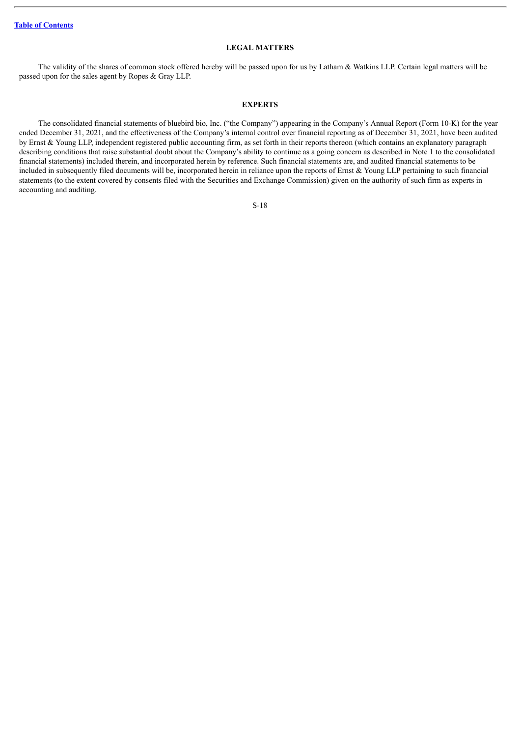#### **LEGAL MATTERS**

<span id="page-19-0"></span>The validity of the shares of common stock offered hereby will be passed upon for us by Latham & Watkins LLP. Certain legal matters will be passed upon for the sales agent by Ropes & Gray LLP.

#### **EXPERTS**

<span id="page-19-1"></span>The consolidated financial statements of bluebird bio, Inc. ("the Company") appearing in the Company's Annual Report (Form 10-K) for the year ended December 31, 2021, and the effectiveness of the Company's internal control over financial reporting as of December 31, 2021, have been audited by Ernst & Young LLP, independent registered public accounting firm, as set forth in their reports thereon (which contains an explanatory paragraph describing conditions that raise substantial doubt about the Company's ability to continue as a going concern as described in Note 1 to the consolidated financial statements) included therein, and incorporated herein by reference. Such financial statements are, and audited financial statements to be included in subsequently filed documents will be, incorporated herein in reliance upon the reports of Ernst & Young LLP pertaining to such financial statements (to the extent covered by consents filed with the Securities and Exchange Commission) given on the authority of such firm as experts in accounting and auditing.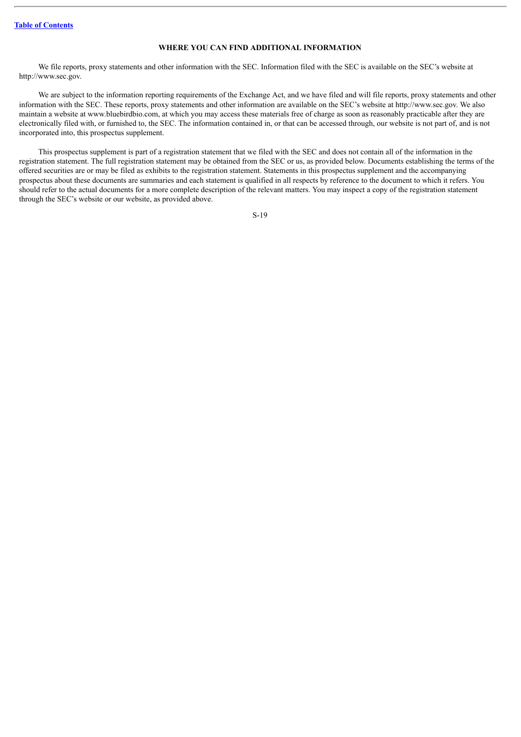#### **WHERE YOU CAN FIND ADDITIONAL INFORMATION**

<span id="page-20-0"></span>We file reports, proxy statements and other information with the SEC. Information filed with the SEC is available on the SEC's website at http://www.sec.gov.

We are subject to the information reporting requirements of the Exchange Act, and we have filed and will file reports, proxy statements and other information with the SEC. These reports, proxy statements and other information are available on the SEC's website at http://www.sec.gov. We also maintain a website at www.bluebirdbio.com, at which you may access these materials free of charge as soon as reasonably practicable after they are electronically filed with, or furnished to, the SEC. The information contained in, or that can be accessed through, our website is not part of, and is not incorporated into, this prospectus supplement.

This prospectus supplement is part of a registration statement that we filed with the SEC and does not contain all of the information in the registration statement. The full registration statement may be obtained from the SEC or us, as provided below. Documents establishing the terms of the offered securities are or may be filed as exhibits to the registration statement. Statements in this prospectus supplement and the accompanying prospectus about these documents are summaries and each statement is qualified in all respects by reference to the document to which it refers. You should refer to the actual documents for a more complete description of the relevant matters. You may inspect a copy of the registration statement through the SEC's website or our website, as provided above.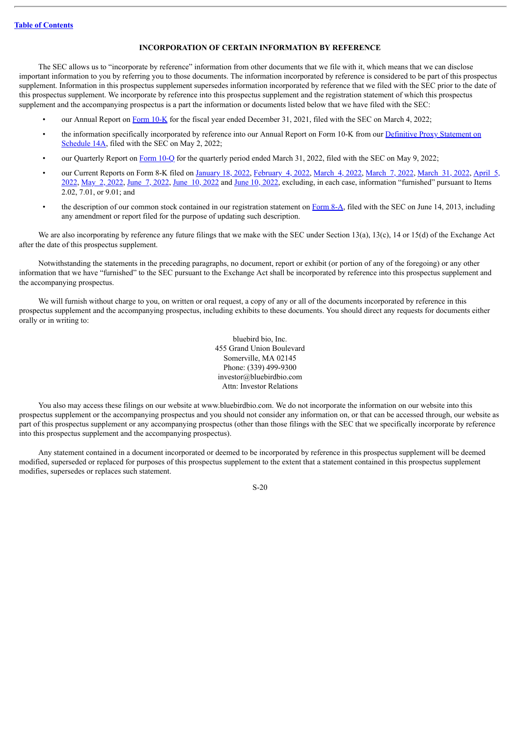#### **INCORPORATION OF CERTAIN INFORMATION BY REFERENCE**

<span id="page-21-0"></span>The SEC allows us to "incorporate by reference" information from other documents that we file with it, which means that we can disclose important information to you by referring you to those documents. The information incorporated by reference is considered to be part of this prospectus supplement. Information in this prospectus supplement supersedes information incorporated by reference that we filed with the SEC prior to the date of this prospectus supplement. We incorporate by reference into this prospectus supplement and the registration statement of which this prospectus supplement and the accompanying prospectus is a part the information or documents listed below that we have filed with the SEC:

- our Annual Report on [Form](http://www.sec.gov/ix?doc=/Archives/edgar/data/1293971/000129397122000016/blue-20211231.htm) 10-K for the fiscal year ended December 31, 2021, filed with the SEC on March 4, 2022;
- the information specifically [incorporated](http://www.sec.gov/Archives/edgar/data/1293971/000129397122000028/bluebirdbioinc2022proxy.htm) by reference into our Annual Report on Form 10-K from our **Definitive Proxy Statement on** Schedule 14A, filed with the SEC on May 2, 2022;
- our Quarterly Report on [Form](http://www.sec.gov/ix?doc=/Archives/edgar/data/1293971/000129397122000034/blue-20220331.htm) 10-Q for the quarterly period ended March 31, 2022, filed with the SEC on May 9, 2022;
- our Current Reports on Form 8-K filed on [January](http://www.sec.gov/ix?doc=/Archives/edgar/data/1293971/000129397122000004/blue-20220118.htm) 18, 2022, [February](http://www.sec.gov/ix?doc=/Archives/edgar/data/1293971/000129397122000008/blue-20220131.htm) 4, 2022, [March](http://www.sec.gov/ix?doc=/Archives/edgar/data/1293971/000129397122000021/blue-20220325.htm) 4, 2022, March 7, 2022, March 31, 2022, April 5,  $2022$ , May  $2$ ,  $2022$ , June  $7$ ,  $2022$ , June  $10$ ,  $2022$  and June  $10$ ,  $2022$ , excluding, in each case, [information](http://www.sec.gov/ix?doc=/Archives/edgar/data/1293971/000129397122000023/blue-20220405.htm) "furnished" pursuant to Items 2.02, 7.01, or 9.01; and
- the description of our common stock contained in our registration statement on [Form](http://www.sec.gov/Archives/edgar/data/1293971/000119312513259499/d553573d8a12b.htm) 8-A, filed with the SEC on June 14, 2013, including any amendment or report filed for the purpose of updating such description.

We are also incorporating by reference any future filings that we make with the SEC under Section 13(a), 13(c), 14 or 15(d) of the Exchange Act after the date of this prospectus supplement.

Notwithstanding the statements in the preceding paragraphs, no document, report or exhibit (or portion of any of the foregoing) or any other information that we have "furnished" to the SEC pursuant to the Exchange Act shall be incorporated by reference into this prospectus supplement and the accompanying prospectus.

We will furnish without charge to you, on written or oral request, a copy of any or all of the documents incorporated by reference in this prospectus supplement and the accompanying prospectus, including exhibits to these documents. You should direct any requests for documents either orally or in writing to:

> bluebird bio, Inc. 455 Grand Union Boulevard Somerville, MA 02145 Phone: (339) 499-9300 investor@bluebirdbio.com Attn: Investor Relations

You also may access these filings on our website at www.bluebirdbio.com. We do not incorporate the information on our website into this prospectus supplement or the accompanying prospectus and you should not consider any information on, or that can be accessed through, our website as part of this prospectus supplement or any accompanying prospectus (other than those filings with the SEC that we specifically incorporate by reference into this prospectus supplement and the accompanying prospectus).

Any statement contained in a document incorporated or deemed to be incorporated by reference in this prospectus supplement will be deemed modified, superseded or replaced for purposes of this prospectus supplement to the extent that a statement contained in this prospectus supplement modifies, supersedes or replaces such statement.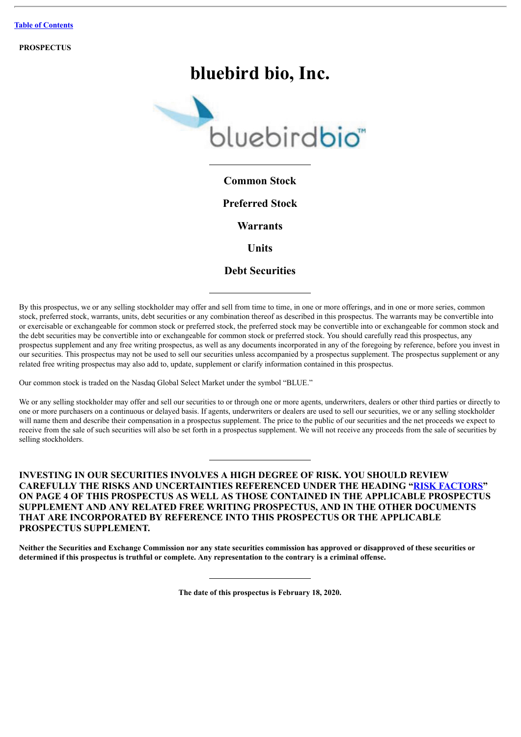**PROSPECTUS**

# **bluebird bio, Inc.**



**Common Stock**

**Preferred Stock**

**Warrants**

**Units**

## **Debt Securities**

By this prospectus, we or any selling stockholder may offer and sell from time to time, in one or more offerings, and in one or more series, common stock, preferred stock, warrants, units, debt securities or any combination thereof as described in this prospectus. The warrants may be convertible into or exercisable or exchangeable for common stock or preferred stock, the preferred stock may be convertible into or exchangeable for common stock and the debt securities may be convertible into or exchangeable for common stock or preferred stock. You should carefully read this prospectus, any prospectus supplement and any free writing prospectus, as well as any documents incorporated in any of the foregoing by reference, before you invest in our securities. This prospectus may not be used to sell our securities unless accompanied by a prospectus supplement. The prospectus supplement or any related free writing prospectus may also add to, update, supplement or clarify information contained in this prospectus.

Our common stock is traded on the Nasdaq Global Select Market under the symbol "BLUE."

We or any selling stockholder may offer and sell our securities to or through one or more agents, underwriters, dealers or other third parties or directly to one or more purchasers on a continuous or delayed basis. If agents, underwriters or dealers are used to sell our securities, we or any selling stockholder will name them and describe their compensation in a prospectus supplement. The price to the public of our securities and the net proceeds we expect to receive from the sale of such securities will also be set forth in a prospectus supplement. We will not receive any proceeds from the sale of securities by selling stockholders.

### **INVESTING IN OUR SECURITIES INVOLVES A HIGH DEGREE OF RISK. YOU SHOULD REVIEW CAREFULLY THE RISKS AND UNCERTAINTIES REFERENCED UNDER THE HEADING "[RISK FACTORS](#page-27-0)" ON PAGE 4 OF THIS PROSPECTUS AS WELL AS THOSE CONTAINED IN THE APPLICABLE PROSPECTUS SUPPLEMENT AND ANY RELATED FREE WRITING PROSPECTUS, AND IN THE OTHER DOCUMENTS THAT ARE INCORPORATED BY REFERENCE INTO THIS PROSPECTUS OR THE APPLICABLE PROSPECTUS SUPPLEMENT.**

Neither the Securities and Exchange Commission nor any state securities commission has approved or disapproved of these securities or determined if this prospectus is truthful or complete. Any representation to the contrary is a criminal offense.

**The date of this prospectus is February 18, 2020.**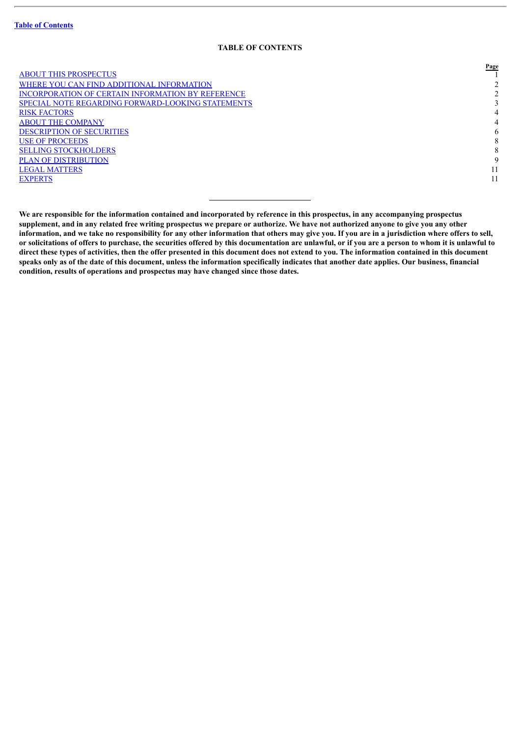#### **TABLE OF CONTENTS**

**Page**

|                                                          | $1$ age        |
|----------------------------------------------------------|----------------|
| <b>ABOUT THIS PROSPECTUS</b>                             |                |
| WHERE YOU CAN FIND ADDITIONAL INFORMATION                | 2              |
| <b>INCORPORATION OF CERTAIN INFORMATION BY REFERENCE</b> | 2              |
| SPECIAL NOTE REGARDING FORWARD-LOOKING STATEMENTS        |                |
| <b>RISK FACTORS</b>                                      | $\overline{4}$ |
| <b>ABOUT THE COMPANY</b>                                 | $\overline{4}$ |
| <b>DESCRIPTION OF SECURITIES</b>                         | 6              |
| <b>USE OF PROCEEDS</b>                                   | 8              |
| <b>SELLING STOCKHOLDERS</b>                              | 8              |
| <b>PLAN OF DISTRIBUTION</b>                              | 9              |
| <b>LEGAL MATTERS</b>                                     | 11             |
| <b>EXPERTS</b>                                           | 11             |
|                                                          |                |

We are responsible for the information contained and incorporated by reference in this prospectus, in any accompanying prospectus supplement, and in any related free writing prospectus we prepare or authorize. We have not authorized anyone to give you any other information, and we take no responsibility for any other information that others may give you. If you are in a jurisdiction where offers to sell, or solicitations of offers to purchase, the securities offered by this documentation are unlawful, or if you are a person to whom it is unlawful to direct these types of activities, then the offer presented in this document does not extend to you. The information contained in this document speaks only as of the date of this document, unless the information specifically indicates that another date applies. Our business, financial **condition, results of operations and prospectus may have changed since those dates.**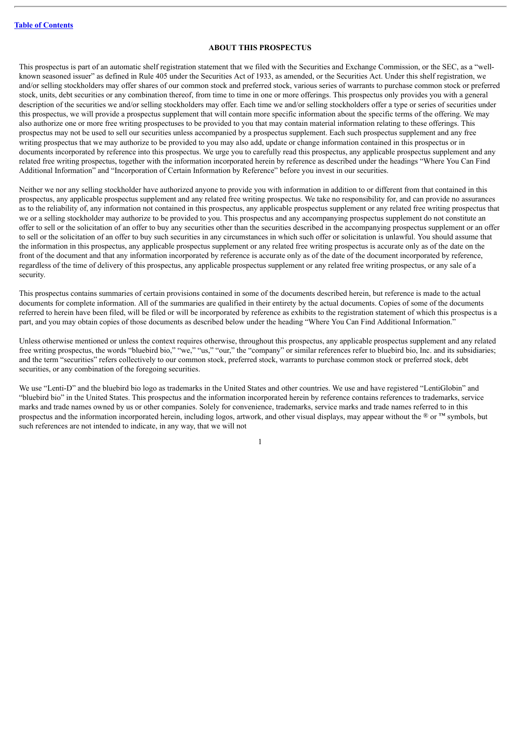#### **ABOUT THIS PROSPECTUS**

<span id="page-24-0"></span>This prospectus is part of an automatic shelf registration statement that we filed with the Securities and Exchange Commission, or the SEC, as a "wellknown seasoned issuer" as defined in Rule 405 under the Securities Act of 1933, as amended, or the Securities Act. Under this shelf registration, we and/or selling stockholders may offer shares of our common stock and preferred stock, various series of warrants to purchase common stock or preferred stock, units, debt securities or any combination thereof, from time to time in one or more offerings. This prospectus only provides you with a general description of the securities we and/or selling stockholders may offer. Each time we and/or selling stockholders offer a type or series of securities under this prospectus, we will provide a prospectus supplement that will contain more specific information about the specific terms of the offering. We may also authorize one or more free writing prospectuses to be provided to you that may contain material information relating to these offerings. This prospectus may not be used to sell our securities unless accompanied by a prospectus supplement. Each such prospectus supplement and any free writing prospectus that we may authorize to be provided to you may also add, update or change information contained in this prospectus or in documents incorporated by reference into this prospectus. We urge you to carefully read this prospectus, any applicable prospectus supplement and any related free writing prospectus, together with the information incorporated herein by reference as described under the headings "Where You Can Find Additional Information" and "Incorporation of Certain Information by Reference" before you invest in our securities.

Neither we nor any selling stockholder have authorized anyone to provide you with information in addition to or different from that contained in this prospectus, any applicable prospectus supplement and any related free writing prospectus. We take no responsibility for, and can provide no assurances as to the reliability of, any information not contained in this prospectus, any applicable prospectus supplement or any related free writing prospectus that we or a selling stockholder may authorize to be provided to you. This prospectus and any accompanying prospectus supplement do not constitute an offer to sell or the solicitation of an offer to buy any securities other than the securities described in the accompanying prospectus supplement or an offer to sell or the solicitation of an offer to buy such securities in any circumstances in which such offer or solicitation is unlawful. You should assume that the information in this prospectus, any applicable prospectus supplement or any related free writing prospectus is accurate only as of the date on the front of the document and that any information incorporated by reference is accurate only as of the date of the document incorporated by reference, regardless of the time of delivery of this prospectus, any applicable prospectus supplement or any related free writing prospectus, or any sale of a security.

This prospectus contains summaries of certain provisions contained in some of the documents described herein, but reference is made to the actual documents for complete information. All of the summaries are qualified in their entirety by the actual documents. Copies of some of the documents referred to herein have been filed, will be filed or will be incorporated by reference as exhibits to the registration statement of which this prospectus is a part, and you may obtain copies of those documents as described below under the heading "Where You Can Find Additional Information."

Unless otherwise mentioned or unless the context requires otherwise, throughout this prospectus, any applicable prospectus supplement and any related free writing prospectus, the words "bluebird bio," "we," "us," "our," the "company" or similar references refer to bluebird bio, Inc. and its subsidiaries; and the term "securities" refers collectively to our common stock, preferred stock, warrants to purchase common stock or preferred stock, debt securities, or any combination of the foregoing securities.

We use "Lenti-D" and the bluebird bio logo as trademarks in the United States and other countries. We use and have registered "LentiGlobin" and "bluebird bio" in the United States. This prospectus and the information incorporated herein by reference contains references to trademarks, service marks and trade names owned by us or other companies. Solely for convenience, trademarks, service marks and trade names referred to in this prospectus and the information incorporated herein, including logos, artwork, and other visual displays, may appear without the ® or ™ symbols, but such references are not intended to indicate, in any way, that we will not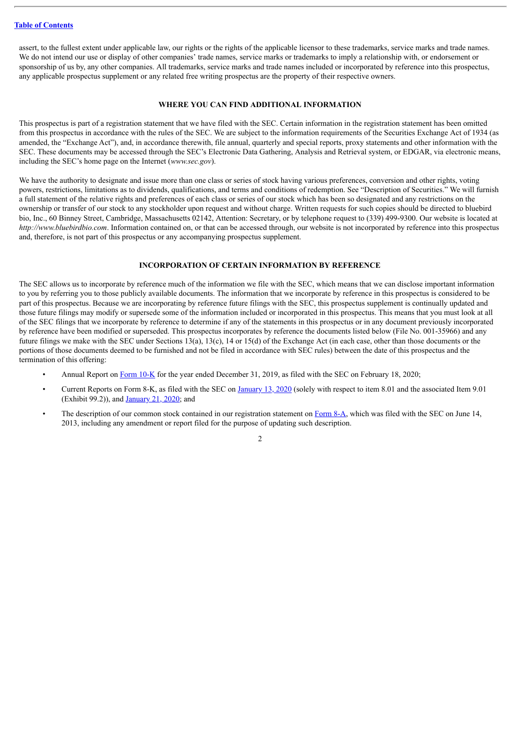assert, to the fullest extent under applicable law, our rights or the rights of the applicable licensor to these trademarks, service marks and trade names. We do not intend our use or display of other companies' trade names, service marks or trademarks to imply a relationship with, or endorsement or sponsorship of us by, any other companies. All trademarks, service marks and trade names included or incorporated by reference into this prospectus, any applicable prospectus supplement or any related free writing prospectus are the property of their respective owners.

#### **WHERE YOU CAN FIND ADDITIONAL INFORMATION**

<span id="page-25-0"></span>This prospectus is part of a registration statement that we have filed with the SEC. Certain information in the registration statement has been omitted from this prospectus in accordance with the rules of the SEC. We are subject to the information requirements of the Securities Exchange Act of 1934 (as amended, the "Exchange Act"), and, in accordance therewith, file annual, quarterly and special reports, proxy statements and other information with the SEC. These documents may be accessed through the SEC's Electronic Data Gathering, Analysis and Retrieval system, or EDGAR, via electronic means, including the SEC's home page on the Internet (*www.sec.gov*).

We have the authority to designate and issue more than one class or series of stock having various preferences, conversion and other rights, voting powers, restrictions, limitations as to dividends, qualifications, and terms and conditions of redemption. See "Description of Securities." We will furnish a full statement of the relative rights and preferences of each class or series of our stock which has been so designated and any restrictions on the ownership or transfer of our stock to any stockholder upon request and without charge. Written requests for such copies should be directed to bluebird bio, Inc., 60 Binney Street, Cambridge, Massachusetts 02142, Attention: Secretary, or by telephone request to (339) 499-9300. Our website is located at *http://www.bluebirdbio.com*. Information contained on, or that can be accessed through, our website is not incorporated by reference into this prospectus and, therefore, is not part of this prospectus or any accompanying prospectus supplement.

#### **INCORPORATION OF CERTAIN INFORMATION BY REFERENCE**

<span id="page-25-1"></span>The SEC allows us to incorporate by reference much of the information we file with the SEC, which means that we can disclose important information to you by referring you to those publicly available documents. The information that we incorporate by reference in this prospectus is considered to be part of this prospectus. Because we are incorporating by reference future filings with the SEC, this prospectus supplement is continually updated and those future filings may modify or supersede some of the information included or incorporated in this prospectus. This means that you must look at all of the SEC filings that we incorporate by reference to determine if any of the statements in this prospectus or in any document previously incorporated by reference have been modified or superseded. This prospectus incorporates by reference the documents listed below (File No. 001-35966) and any future filings we make with the SEC under Sections 13(a), 13(c), 14 or 15(d) of the Exchange Act (in each case, other than those documents or the portions of those documents deemed to be furnished and not be filed in accordance with SEC rules) between the date of this prospectus and the termination of this offering:

- Annual Report on [Form](http://www.sec.gov/ix?doc=/Archives/edgar/data/1293971/000129397120000007/blue-20191231.htm) 10-K for the year ended December 31, 2019, as filed with the SEC on February 18, 2020;
- Current Reports on Form 8-K, as filed with the SEC on [January](http://www.sec.gov/ix?doc=/Archives/edgar/data/1293971/000156459020000893/blue-8k_20200113.htm) 13, 2020 (solely with respect to item 8.01 and the associated Item 9.01 (Exhibit 99.2)), and [January](http://www.sec.gov/ix?doc=/Archives/edgar/data/1293971/000129397120000002/blue-20200114.htm) 21, 2020; and
- The description of our common stock contained in our registration statement on [Form](http://www.sec.gov/Archives/edgar/data/1293971/000119312513259499/d553573d8a12b.htm) 8-A, which was filed with the SEC on June 14, 2013, including any amendment or report filed for the purpose of updating such description.

 $\mathcal{L}$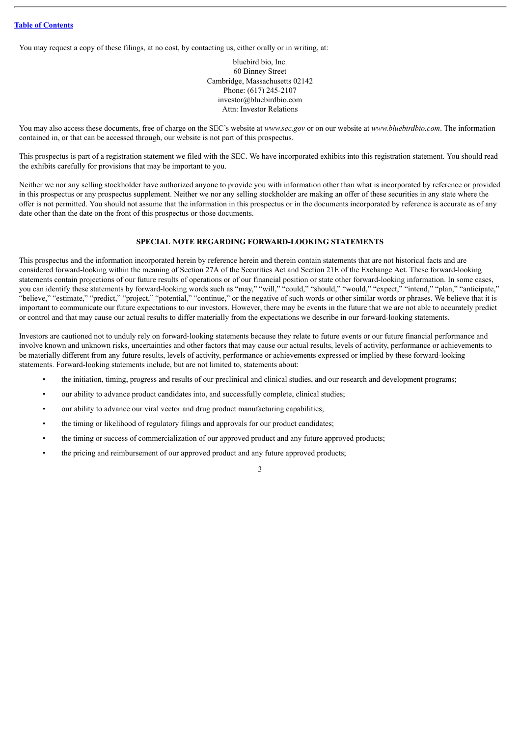You may request a copy of these filings, at no cost, by contacting us, either orally or in writing, at:

bluebird bio, Inc. 60 Binney Street Cambridge, Massachusetts 02142 Phone: (617) 245-2107 investor@bluebirdbio.com Attn: Investor Relations

You may also access these documents, free of charge on the SEC's website at *www.sec.gov* or on our website at *www.bluebirdbio.com*. The information contained in, or that can be accessed through, our website is not part of this prospectus.

This prospectus is part of a registration statement we filed with the SEC. We have incorporated exhibits into this registration statement. You should read the exhibits carefully for provisions that may be important to you.

Neither we nor any selling stockholder have authorized anyone to provide you with information other than what is incorporated by reference or provided in this prospectus or any prospectus supplement. Neither we nor any selling stockholder are making an offer of these securities in any state where the offer is not permitted. You should not assume that the information in this prospectus or in the documents incorporated by reference is accurate as of any date other than the date on the front of this prospectus or those documents.

#### **SPECIAL NOTE REGARDING FORWARD-LOOKING STATEMENTS**

<span id="page-26-0"></span>This prospectus and the information incorporated herein by reference herein and therein contain statements that are not historical facts and are considered forward-looking within the meaning of Section 27A of the Securities Act and Section 21E of the Exchange Act. These forward-looking statements contain projections of our future results of operations or of our financial position or state other forward-looking information. In some cases, you can identify these statements by forward-looking words such as "may," "will," "could," "should," "would," "expect," "intend," "plan," "anticipate," "believe," "estimate," "predict," "project," "potential," "continue," or the negative of such words or other similar words or phrases. We believe that it is important to communicate our future expectations to our investors. However, there may be events in the future that we are not able to accurately predict or control and that may cause our actual results to differ materially from the expectations we describe in our forward-looking statements.

Investors are cautioned not to unduly rely on forward-looking statements because they relate to future events or our future financial performance and involve known and unknown risks, uncertainties and other factors that may cause our actual results, levels of activity, performance or achievements to be materially different from any future results, levels of activity, performance or achievements expressed or implied by these forward-looking statements. Forward-looking statements include, but are not limited to, statements about:

- the initiation, timing, progress and results of our preclinical and clinical studies, and our research and development programs;
- our ability to advance product candidates into, and successfully complete, clinical studies;
- our ability to advance our viral vector and drug product manufacturing capabilities;
- the timing or likelihood of regulatory filings and approvals for our product candidates;
- the timing or success of commercialization of our approved product and any future approved products;
- the pricing and reimbursement of our approved product and any future approved products;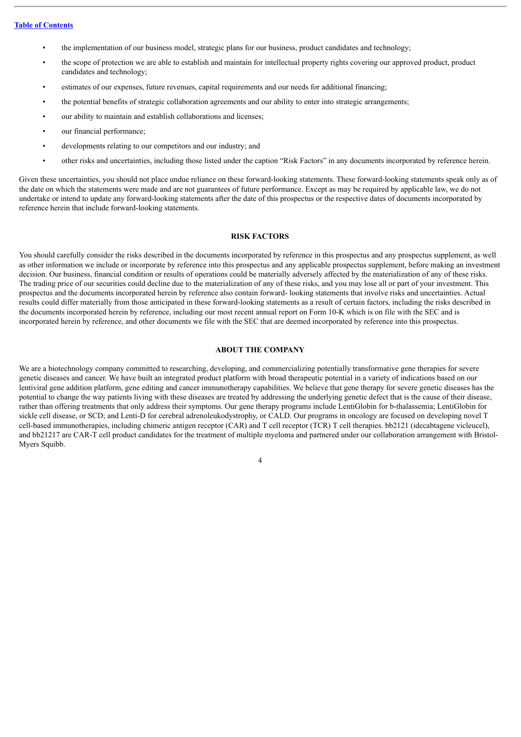- the implementation of our business model, strategic plans for our business, product candidates and technology;
- the scope of protection we are able to establish and maintain for intellectual property rights covering our approved product, product candidates and technology;
- estimates of our expenses, future revenues, capital requirements and our needs for additional financing;
- the potential benefits of strategic collaboration agreements and our ability to enter into strategic arrangements;
- our ability to maintain and establish collaborations and licenses;
- our financial performance;
- developments relating to our competitors and our industry; and
- other risks and uncertainties, including those listed under the caption "Risk Factors" in any documents incorporated by reference herein.

Given these uncertainties, you should not place undue reliance on these forward-looking statements. These forward-looking statements speak only as of the date on which the statements were made and are not guarantees of future performance. Except as may be required by applicable law, we do not undertake or intend to update any forward-looking statements after the date of this prospectus or the respective dates of documents incorporated by reference herein that include forward-looking statements.

#### **RISK FACTORS**

<span id="page-27-0"></span>You should carefully consider the risks described in the documents incorporated by reference in this prospectus and any prospectus supplement, as well as other information we include or incorporate by reference into this prospectus and any applicable prospectus supplement, before making an investment decision. Our business, financial condition or results of operations could be materially adversely affected by the materialization of any of these risks. The trading price of our securities could decline due to the materialization of any of these risks, and you may lose all or part of your investment. This prospectus and the documents incorporated herein by reference also contain forward- looking statements that involve risks and uncertainties. Actual results could differ materially from those anticipated in these forward-looking statements as a result of certain factors, including the risks described in the documents incorporated herein by reference, including our most recent annual report on Form 10-K which is on file with the SEC and is incorporated herein by reference, and other documents we file with the SEC that are deemed incorporated by reference into this prospectus.

#### **ABOUT THE COMPANY**

<span id="page-27-1"></span>We are a biotechnology company committed to researching, developing, and commercializing potentially transformative gene therapies for severe genetic diseases and cancer. We have built an integrated product platform with broad therapeutic potential in a variety of indications based on our lentiviral gene addition platform, gene editing and cancer immunotherapy capabilities. We believe that gene therapy for severe genetic diseases has the potential to change the way patients living with these diseases are treated by addressing the underlying genetic defect that is the cause of their disease, rather than offering treatments that only address their symptoms. Our gene therapy programs include LentiGlobin for b-thalassemia; LentiGlobin for sickle cell disease, or SCD; and Lenti-D for cerebral adrenoleukodystrophy, or CALD. Our programs in oncology are focused on developing novel T cell-based immunotherapies, including chimeric antigen receptor (CAR) and T cell receptor (TCR) T cell therapies. bb2121 (idecabtagene vicleucel), and bb21217 are CAR-T cell product candidates for the treatment of multiple myeloma and partnered under our collaboration arrangement with Bristol-Myers Squibb.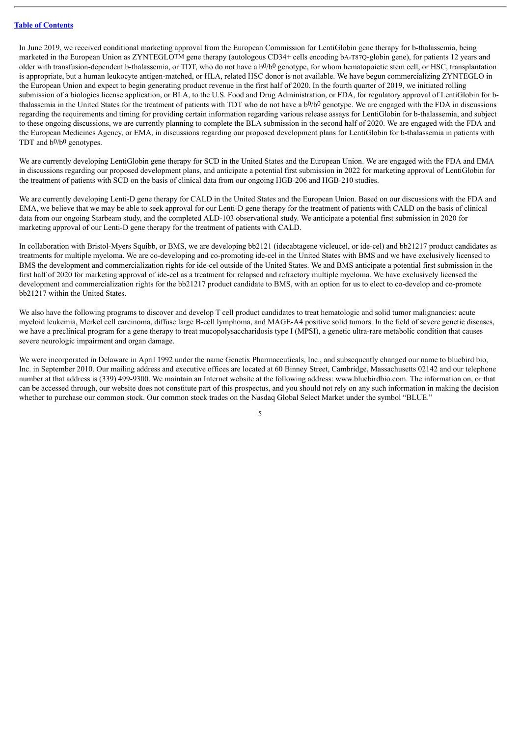In June 2019, we received conditional marketing approval from the European Commission for LentiGlobin gene therapy for b-thalassemia, being marketed in the European Union as ZYNTEGLOTM gene therapy (autologous CD34+ cells encoding bA-T870-globin gene), for patients 12 years and older with transfusion-dependent b-thalassemia, or TDT, who do not have a b0/b0 genotype, for whom hematopoietic stem cell, or HSC, transplantation is appropriate, but a human leukocyte antigen-matched, or HLA, related HSC donor is not available. We have begun commercializing ZYNTEGLO in the European Union and expect to begin generating product revenue in the first half of 2020. In the fourth quarter of 2019, we initiated rolling submission of a biologics license application, or BLA, to the U.S. Food and Drug Administration, or FDA, for regulatory approval of LentiGlobin for bthalassemia in the United States for the treatment of patients with TDT who do not have a b<sup>0</sup>/b<sup>0</sup> genotype. We are engaged with the FDA in discussions regarding the requirements and timing for providing certain information regarding various release assays for LentiGlobin for b-thalassemia, and subject to these ongoing discussions, we are currently planning to complete the BLA submission in the second half of 2020. We are engaged with the FDA and the European Medicines Agency, or EMA, in discussions regarding our proposed development plans for LentiGlobin for b-thalassemia in patients with TDT and b0/b0 genotypes.

We are currently developing LentiGlobin gene therapy for SCD in the United States and the European Union. We are engaged with the FDA and EMA in discussions regarding our proposed development plans, and anticipate a potential first submission in 2022 for marketing approval of LentiGlobin for the treatment of patients with SCD on the basis of clinical data from our ongoing HGB-206 and HGB-210 studies.

We are currently developing Lenti-D gene therapy for CALD in the United States and the European Union. Based on our discussions with the FDA and EMA, we believe that we may be able to seek approval for our Lenti-D gene therapy for the treatment of patients with CALD on the basis of clinical data from our ongoing Starbeam study, and the completed ALD-103 observational study. We anticipate a potential first submission in 2020 for marketing approval of our Lenti-D gene therapy for the treatment of patients with CALD.

In collaboration with Bristol-Myers Squibb, or BMS, we are developing bb2121 (idecabtagene vicleucel, or ide-cel) and bb21217 product candidates as treatments for multiple myeloma. We are co-developing and co-promoting ide-cel in the United States with BMS and we have exclusively licensed to BMS the development and commercialization rights for ide-cel outside of the United States. We and BMS anticipate a potential first submission in the first half of 2020 for marketing approval of ide-cel as a treatment for relapsed and refractory multiple myeloma. We have exclusively licensed the development and commercialization rights for the bb21217 product candidate to BMS, with an option for us to elect to co-develop and co-promote bb21217 within the United States.

We also have the following programs to discover and develop T cell product candidates to treat hematologic and solid tumor malignancies: acute myeloid leukemia, Merkel cell carcinoma, diffuse large B-cell lymphoma, and MAGE-A4 positive solid tumors. In the field of severe genetic diseases, we have a preclinical program for a gene therapy to treat mucopolysaccharidosis type I (MPSI), a genetic ultra-rare metabolic condition that causes severe neurologic impairment and organ damage.

We were incorporated in Delaware in April 1992 under the name Genetix Pharmaceuticals, Inc., and subsequently changed our name to bluebird bio, Inc. in September 2010. Our mailing address and executive offices are located at 60 Binney Street, Cambridge, Massachusetts 02142 and our telephone number at that address is (339) 499-9300. We maintain an Internet website at the following address: www.bluebirdbio.com. The information on, or that can be accessed through, our website does not constitute part of this prospectus, and you should not rely on any such information in making the decision whether to purchase our common stock. Our common stock trades on the Nasdaq Global Select Market under the symbol "BLUE."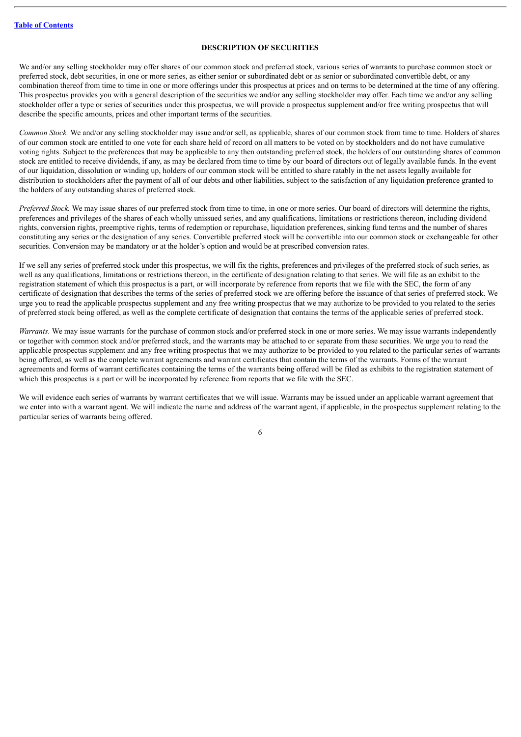#### **DESCRIPTION OF SECURITIES**

<span id="page-29-0"></span>We and/or any selling stockholder may offer shares of our common stock and preferred stock, various series of warrants to purchase common stock or preferred stock, debt securities, in one or more series, as either senior or subordinated debt or as senior or subordinated convertible debt, or any combination thereof from time to time in one or more offerings under this prospectus at prices and on terms to be determined at the time of any offering. This prospectus provides you with a general description of the securities we and/or any selling stockholder may offer. Each time we and/or any selling stockholder offer a type or series of securities under this prospectus, we will provide a prospectus supplement and/or free writing prospectus that will describe the specific amounts, prices and other important terms of the securities.

*Common Stock.* We and/or any selling stockholder may issue and/or sell, as applicable, shares of our common stock from time to time. Holders of shares of our common stock are entitled to one vote for each share held of record on all matters to be voted on by stockholders and do not have cumulative voting rights. Subject to the preferences that may be applicable to any then outstanding preferred stock, the holders of our outstanding shares of common stock are entitled to receive dividends, if any, as may be declared from time to time by our board of directors out of legally available funds. In the event of our liquidation, dissolution or winding up, holders of our common stock will be entitled to share ratably in the net assets legally available for distribution to stockholders after the payment of all of our debts and other liabilities, subject to the satisfaction of any liquidation preference granted to the holders of any outstanding shares of preferred stock.

*Preferred Stock.* We may issue shares of our preferred stock from time to time, in one or more series. Our board of directors will determine the rights, preferences and privileges of the shares of each wholly unissued series, and any qualifications, limitations or restrictions thereon, including dividend rights, conversion rights, preemptive rights, terms of redemption or repurchase, liquidation preferences, sinking fund terms and the number of shares constituting any series or the designation of any series. Convertible preferred stock will be convertible into our common stock or exchangeable for other securities. Conversion may be mandatory or at the holder's option and would be at prescribed conversion rates.

If we sell any series of preferred stock under this prospectus, we will fix the rights, preferences and privileges of the preferred stock of such series, as well as any qualifications, limitations or restrictions thereon, in the certificate of designation relating to that series. We will file as an exhibit to the registration statement of which this prospectus is a part, or will incorporate by reference from reports that we file with the SEC, the form of any certificate of designation that describes the terms of the series of preferred stock we are offering before the issuance of that series of preferred stock. We urge you to read the applicable prospectus supplement and any free writing prospectus that we may authorize to be provided to you related to the series of preferred stock being offered, as well as the complete certificate of designation that contains the terms of the applicable series of preferred stock.

*Warrants*. We may issue warrants for the purchase of common stock and/or preferred stock in one or more series. We may issue warrants independently or together with common stock and/or preferred stock, and the warrants may be attached to or separate from these securities. We urge you to read the applicable prospectus supplement and any free writing prospectus that we may authorize to be provided to you related to the particular series of warrants being offered, as well as the complete warrant agreements and warrant certificates that contain the terms of the warrants. Forms of the warrant agreements and forms of warrant certificates containing the terms of the warrants being offered will be filed as exhibits to the registration statement of which this prospectus is a part or will be incorporated by reference from reports that we file with the SEC.

We will evidence each series of warrants by warrant certificates that we will issue. Warrants may be issued under an applicable warrant agreement that we enter into with a warrant agent. We will indicate the name and address of the warrant agent, if applicable, in the prospectus supplement relating to the particular series of warrants being offered.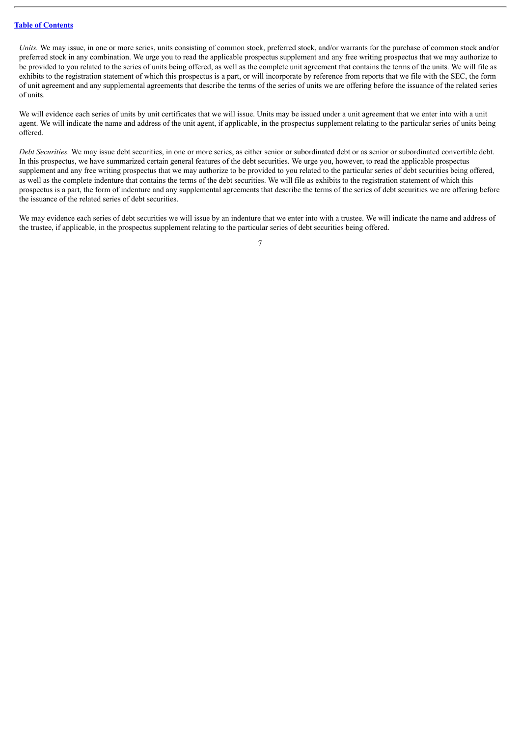*Units*. We may issue, in one or more series, units consisting of common stock, preferred stock, and/or warrants for the purchase of common stock and/or preferred stock in any combination. We urge you to read the applicable prospectus supplement and any free writing prospectus that we may authorize to be provided to you related to the series of units being offered, as well as the complete unit agreement that contains the terms of the units. We will file as exhibits to the registration statement of which this prospectus is a part, or will incorporate by reference from reports that we file with the SEC, the form of unit agreement and any supplemental agreements that describe the terms of the series of units we are offering before the issuance of the related series of units.

We will evidence each series of units by unit certificates that we will issue. Units may be issued under a unit agreement that we enter into with a unit agent. We will indicate the name and address of the unit agent, if applicable, in the prospectus supplement relating to the particular series of units being offered.

*Debt Securities.* We may issue debt securities, in one or more series, as either senior or subordinated debt or as senior or subordinated convertible debt. In this prospectus, we have summarized certain general features of the debt securities. We urge you, however, to read the applicable prospectus supplement and any free writing prospectus that we may authorize to be provided to you related to the particular series of debt securities being offered, as well as the complete indenture that contains the terms of the debt securities. We will file as exhibits to the registration statement of which this prospectus is a part, the form of indenture and any supplemental agreements that describe the terms of the series of debt securities we are offering before the issuance of the related series of debt securities.

We may evidence each series of debt securities we will issue by an indenture that we enter into with a trustee. We will indicate the name and address of the trustee, if applicable, in the prospectus supplement relating to the particular series of debt securities being offered.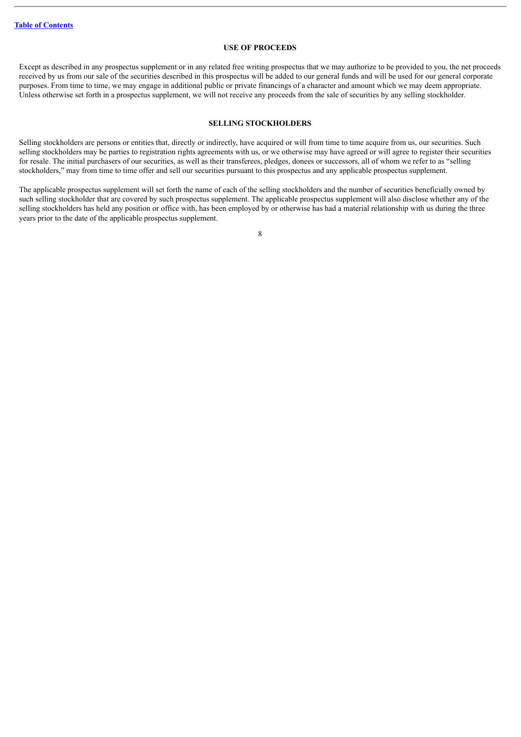#### **USE OF PROCEEDS**

<span id="page-31-0"></span>Except as described in any prospectus supplement or in any related free writing prospectus that we may authorize to be provided to you, the net proceeds received by us from our sale of the securities described in this prospectus will be added to our general funds and will be used for our general corporate purposes. From time to time, we may engage in additional public or private financings of a character and amount which we may deem appropriate. Unless otherwise set forth in a prospectus supplement, we will not receive any proceeds from the sale of securities by any selling stockholder.

#### **SELLING STOCKHOLDERS**

<span id="page-31-1"></span>Selling stockholders are persons or entities that, directly or indirectly, have acquired or will from time to time acquire from us, our securities. Such selling stockholders may be parties to registration rights agreements with us, or we otherwise may have agreed or will agree to register their securities for resale. The initial purchasers of our securities, as well as their transferees, pledges, donees or successors, all of whom we refer to as "selling stockholders," may from time to time offer and sell our securities pursuant to this prospectus and any applicable prospectus supplement.

The applicable prospectus supplement will set forth the name of each of the selling stockholders and the number of securities beneficially owned by such selling stockholder that are covered by such prospectus supplement. The applicable prospectus supplement will also disclose whether any of the selling stockholders has held any position or office with, has been employed by or otherwise has had a material relationship with us during the three years prior to the date of the applicable prospectus supplement.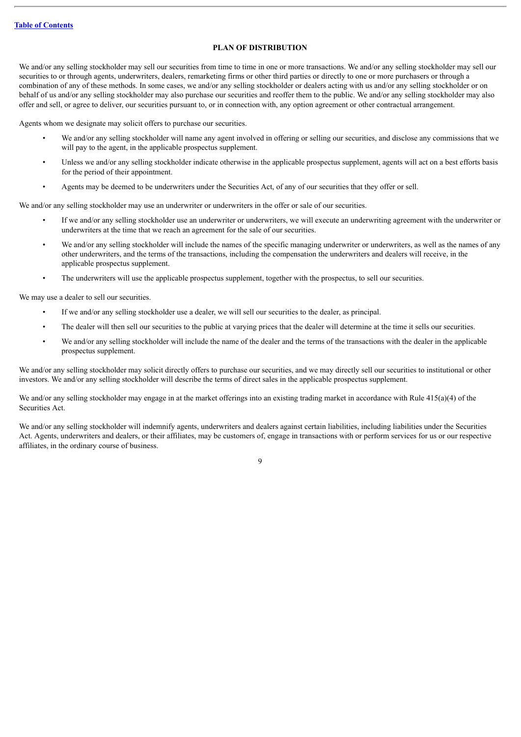#### **PLAN OF DISTRIBUTION**

<span id="page-32-0"></span>We and/or any selling stockholder may sell our securities from time to time in one or more transactions. We and/or any selling stockholder may sell our securities to or through agents, underwriters, dealers, remarketing firms or other third parties or directly to one or more purchasers or through a combination of any of these methods. In some cases, we and/or any selling stockholder or dealers acting with us and/or any selling stockholder or on behalf of us and/or any selling stockholder may also purchase our securities and reoffer them to the public. We and/or any selling stockholder may also offer and sell, or agree to deliver, our securities pursuant to, or in connection with, any option agreement or other contractual arrangement.

Agents whom we designate may solicit offers to purchase our securities.

- We and/or any selling stockholder will name any agent involved in offering or selling our securities, and disclose any commissions that we will pay to the agent, in the applicable prospectus supplement.
- Unless we and/or any selling stockholder indicate otherwise in the applicable prospectus supplement, agents will act on a best efforts basis for the period of their appointment.
- Agents may be deemed to be underwriters under the Securities Act, of any of our securities that they offer or sell.

We and/or any selling stockholder may use an underwriter or underwriters in the offer or sale of our securities.

- If we and/or any selling stockholder use an underwriter or underwriters, we will execute an underwriting agreement with the underwriter or underwriters at the time that we reach an agreement for the sale of our securities.
- We and/or any selling stockholder will include the names of the specific managing underwriter or underwriters, as well as the names of any other underwriters, and the terms of the transactions, including the compensation the underwriters and dealers will receive, in the applicable prospectus supplement.
- The underwriters will use the applicable prospectus supplement, together with the prospectus, to sell our securities.

We may use a dealer to sell our securities.

- If we and/or any selling stockholder use a dealer, we will sell our securities to the dealer, as principal.
- The dealer will then sell our securities to the public at varying prices that the dealer will determine at the time it sells our securities.
- We and/or any selling stockholder will include the name of the dealer and the terms of the transactions with the dealer in the applicable prospectus supplement.

We and/or any selling stockholder may solicit directly offers to purchase our securities, and we may directly sell our securities to institutional or other investors. We and/or any selling stockholder will describe the terms of direct sales in the applicable prospectus supplement.

We and/or any selling stockholder may engage in at the market offerings into an existing trading market in accordance with Rule 415(a)(4) of the Securities Act.

We and/or any selling stockholder will indemnify agents, underwriters and dealers against certain liabilities, including liabilities under the Securities Act. Agents, underwriters and dealers, or their affiliates, may be customers of, engage in transactions with or perform services for us or our respective affiliates, in the ordinary course of business.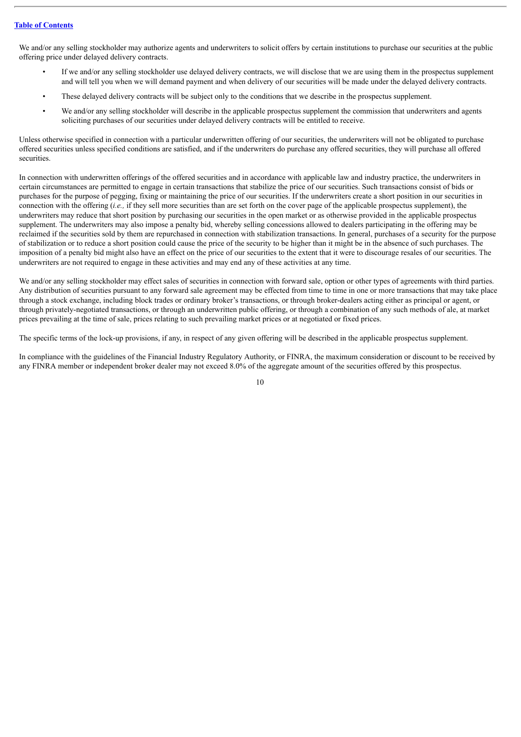We and/or any selling stockholder may authorize agents and underwriters to solicit offers by certain institutions to purchase our securities at the public offering price under delayed delivery contracts.

- If we and/or any selling stockholder use delayed delivery contracts, we will disclose that we are using them in the prospectus supplement and will tell you when we will demand payment and when delivery of our securities will be made under the delayed delivery contracts.
- These delayed delivery contracts will be subject only to the conditions that we describe in the prospectus supplement.
- We and/or any selling stockholder will describe in the applicable prospectus supplement the commission that underwriters and agents soliciting purchases of our securities under delayed delivery contracts will be entitled to receive.

Unless otherwise specified in connection with a particular underwritten offering of our securities, the underwriters will not be obligated to purchase offered securities unless specified conditions are satisfied, and if the underwriters do purchase any offered securities, they will purchase all offered securities.

In connection with underwritten offerings of the offered securities and in accordance with applicable law and industry practice, the underwriters in certain circumstances are permitted to engage in certain transactions that stabilize the price of our securities. Such transactions consist of bids or purchases for the purpose of pegging, fixing or maintaining the price of our securities. If the underwriters create a short position in our securities in connection with the offering (*i.e.,* if they sell more securities than are set forth on the cover page of the applicable prospectus supplement), the underwriters may reduce that short position by purchasing our securities in the open market or as otherwise provided in the applicable prospectus supplement. The underwriters may also impose a penalty bid, whereby selling concessions allowed to dealers participating in the offering may be reclaimed if the securities sold by them are repurchased in connection with stabilization transactions. In general, purchases of a security for the purpose of stabilization or to reduce a short position could cause the price of the security to be higher than it might be in the absence of such purchases. The imposition of a penalty bid might also have an effect on the price of our securities to the extent that it were to discourage resales of our securities. The underwriters are not required to engage in these activities and may end any of these activities at any time.

We and/or any selling stockholder may effect sales of securities in connection with forward sale, option or other types of agreements with third parties. Any distribution of securities pursuant to any forward sale agreement may be effected from time to time in one or more transactions that may take place through a stock exchange, including block trades or ordinary broker's transactions, or through broker-dealers acting either as principal or agent, or through privately-negotiated transactions, or through an underwritten public offering, or through a combination of any such methods of ale, at market prices prevailing at the time of sale, prices relating to such prevailing market prices or at negotiated or fixed prices.

The specific terms of the lock-up provisions, if any, in respect of any given offering will be described in the applicable prospectus supplement.

In compliance with the guidelines of the Financial Industry Regulatory Authority, or FINRA, the maximum consideration or discount to be received by any FINRA member or independent broker dealer may not exceed 8.0% of the aggregate amount of the securities offered by this prospectus.

 $1<sub>0</sub>$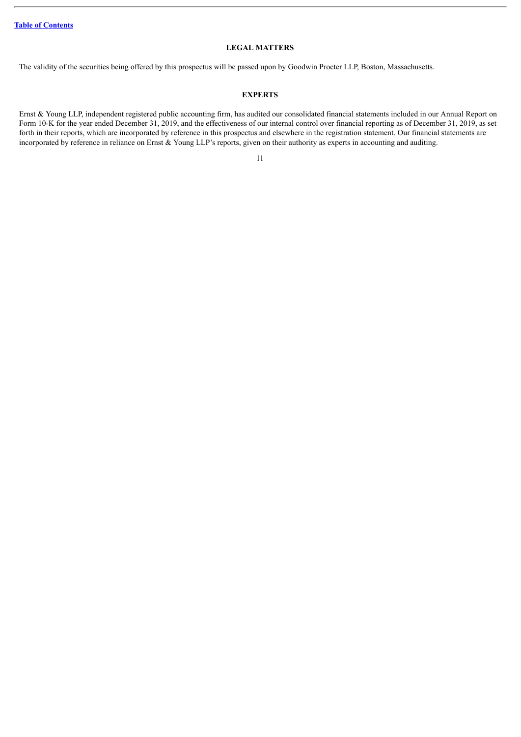#### **LEGAL MATTERS**

<span id="page-34-0"></span>The validity of the securities being offered by this prospectus will be passed upon by Goodwin Procter LLP, Boston, Massachusetts.

#### **EXPERTS**

<span id="page-34-1"></span>Ernst & Young LLP, independent registered public accounting firm, has audited our consolidated financial statements included in our Annual Report on Form 10-K for the year ended December 31, 2019, and the effectiveness of our internal control over financial reporting as of December 31, 2019, as set forth in their reports, which are incorporated by reference in this prospectus and elsewhere in the registration statement. Our financial statements are incorporated by reference in reliance on Ernst & Young LLP's reports, given on their authority as experts in accounting and auditing.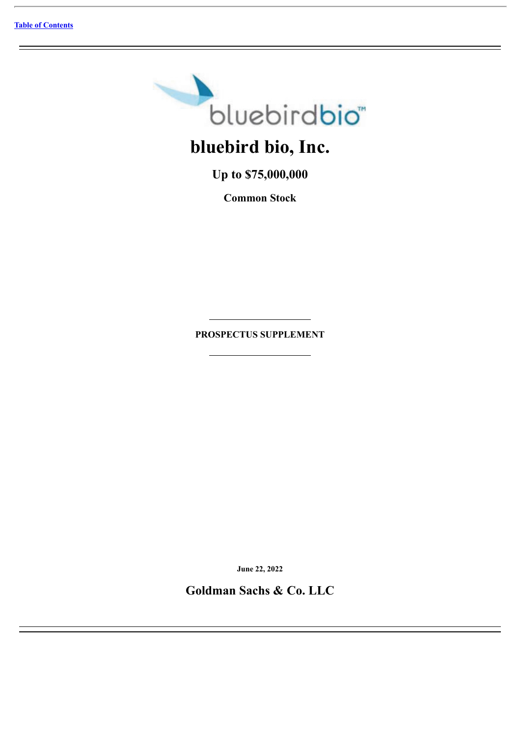

**Up to \$75,000,000**

**Common Stock**

**PROSPECTUS SUPPLEMENT**

**June 22, 2022**

**Goldman Sachs & Co. LLC**